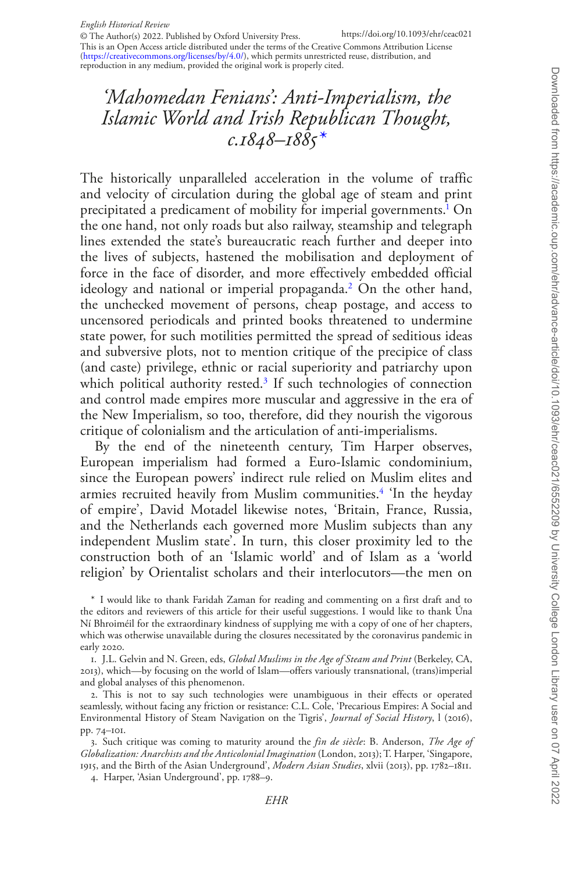This is an Open Access article distributed under the terms of the Creative Commons Attribution License [\(https://creativecommons.org/licenses/by/4.0/](https://creativecommons.org/licenses/by/4.0/)), which permits unrestricted reuse, distribution, and reproduction in any medium, provided the original work is properly cited. © The Author(s) 2022. Published by Oxford University Press.

# *'Mahomedan Fenians': Anti-Imperialism, the Islamic World and Irish Republican Thought, c.1848–1885\**

The historically unparalleled acceleration in the volume of traffic and velocity of circulation during the global age of steam and print precipitated a predicament of mobility for imperial governments.<sup>1</sup> On the one hand, not only roads but also railway, steamship and telegraph lines extended the state's bureaucratic reach further and deeper into the lives of subjects, hastened the mobilisation and deployment of force in the face of disorder, and more effectively embedded official ideology and national or imperial propaganda.[2](#page-0-1) On the other hand, the unchecked movement of persons, cheap postage, and access to uncensored periodicals and printed books threatened to undermine state power, for such motilities permitted the spread of seditious ideas and subversive plots, not to mention critique of the precipice of class (and caste) privilege, ethnic or racial superiority and patriarchy upon which political authority rested.<sup>3</sup> If such technologies of connection and control made empires more muscular and aggressive in the era of the New Imperialism, so too, therefore, did they nourish the vigorous critique of colonialism and the articulation of anti-imperialisms.

By the end of the nineteenth century, Tim Harper observes, European imperialism had formed a Euro-Islamic condominium, since the European powers' indirect rule relied on Muslim elites and armies recruited heavily from Muslim communities.<sup>[4](#page-0-3)</sup> 'In the heyday of empire', David Motadel likewise notes, 'Britain, France, Russia, and the Netherlands each governed more Muslim subjects than any independent Muslim state'. In turn, this closer proximity led to the construction both of an 'Islamic world' and of Islam as a 'world religion' by Orientalist scholars and their interlocutors—the men on

\* I would like to thank Faridah Zaman for reading and commenting on a first draft and to the editors and reviewers of this article for their useful suggestions. I would like to thank Úna Ní Bhroiméil for the extraordinary kindness of supplying me with a copy of one of her chapters, which was otherwise unavailable during the closures necessitated by the coronavirus pandemic in early 2020.

<span id="page-0-0"></span>1. J.L. Gelvin and N. Green, eds, *Global Muslims in the Age of Steam and Print* (Berkeley, CA, 2013), which—by focusing on the world of Islam—offers variously transnational, (trans)imperial and global analyses of this phenomenon.

<span id="page-0-1"></span>2. This is not to say such technologies were unambiguous in their effects or operated seamlessly, without facing any friction or resistance: C.L. Cole, 'Precarious Empires: A Social and Environmental History of Steam Navigation on the Tigris', *Journal of Social History*, l (2016), pp. 74–101.

<span id="page-0-2"></span>3. Such critique was coming to maturity around the *fin de siècle*: B. Anderson, *The Age of Globalization: Anarchists and the Anticolonial Imagination* (London, 2013); T. Harper, 'Singapore, 1915, and the Birth of the Asian Underground', *Modern Asian Studies*, xlvii (2013), pp. 1782–1811.

<span id="page-0-3"></span>4. Harper, 'Asian Underground', pp. 1788–9.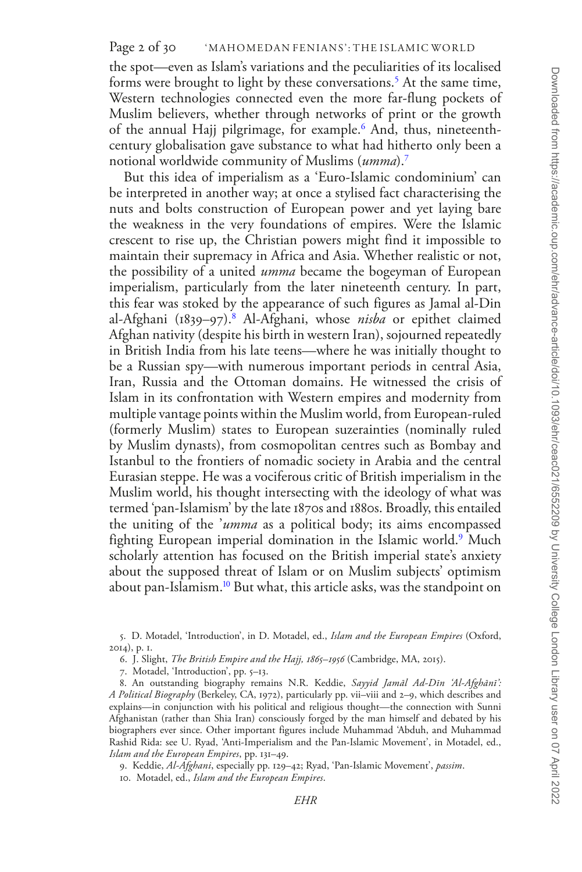# Page 2 of 30 WAHOMEDAN FENIANS': THE ISLAMIC WORLD

the spot—even as Islam's variations and the peculiarities of its localised forms were brought to light by these conversations.<sup>5</sup> At the same time, Western technologies connected even the more far-flung pockets of Muslim believers, whether through networks of print or the growth of the annual Hajj pilgrimage, for example.<sup>[6](#page-1-1)</sup> And, thus, nineteenthcentury globalisation gave substance to what had hitherto only been a notional worldwide community of Muslims (*umma*).[7](#page-1-2)

But this idea of imperialism as a 'Euro-Islamic condominium' can be interpreted in another way; at once a stylised fact characterising the nuts and bolts construction of European power and yet laying bare the weakness in the very foundations of empires. Were the Islamic crescent to rise up, the Christian powers might find it impossible to maintain their supremacy in Africa and Asia. Whether realistic or not, the possibility of a united *umma* became the bogeyman of European imperialism, particularly from the later nineteenth century. In part, this fear was stoked by the appearance of such figures as Jamal al-Din al-Afghani (1839–97).<sup>8</sup> Al-Afghani, whose *nisba* or epithet claimed Afghan nativity (despite his birth in western Iran), sojourned repeatedly in British India from his late teens—where he was initially thought to be a Russian spy—with numerous important periods in central Asia, Iran, Russia and the Ottoman domains. He witnessed the crisis of Islam in its confrontation with Western empires and modernity from multiple vantage points within the Muslim world, from European-ruled (formerly Muslim) states to European suzerainties (nominally ruled by Muslim dynasts), from cosmopolitan centres such as Bombay and Istanbul to the frontiers of nomadic society in Arabia and the central Eurasian steppe. He was a vociferous critic of British imperialism in the Muslim world, his thought intersecting with the ideology of what was termed 'pan-Islamism' by the late 1870s and 1880s. Broadly, this entailed the uniting of the '*umma* as a political body; its aims encompassed fighting European imperial domination in the Islamic world.[9](#page-1-4) Much scholarly attention has focused on the British imperial state's anxiety about the supposed threat of Islam or on Muslim subjects' optimism about pan-Islamism.<sup>[10](#page-1-5)</sup> But what, this article asks, was the standpoint on

- <span id="page-1-1"></span>6. J. Slight, *The British Empire and the Hajj, 1865–1956* (Cambridge, MA, 2015).
- <span id="page-1-3"></span><span id="page-1-2"></span>7. Motadel, 'Introduction', pp. 5–13.

8. An outstanding biography remains N.R. Keddie, *Sayyid Jamāl Ad-Dīn 'Al-Afghānī': A Political Biography* (Berkeley, CA, 1972), particularly pp. vii–viii and 2–9, which describes and explains—in conjunction with his political and religious thought—the connection with Sunni Afghanistan (rather than Shia Iran) consciously forged by the man himself and debated by his biographers ever since. Other important figures include Muhammad 'Abduh, and Muhammad Rashid Rida: see U. Ryad, 'Anti-Imperialism and the Pan-Islamic Movement', in Motadel, ed., *Islam and the European Empires*, pp. 131–49.

<span id="page-1-4"></span>9. Keddie, *Al-Afghani*, especially pp. 129–42; Ryad, 'Pan-Islamic Movement', *passim*.

<span id="page-1-5"></span>10. Motadel, ed., *Islam and the European Empires*.

<span id="page-1-0"></span><sup>5.</sup> D. Motadel, 'Introduction', in D. Motadel, ed., *Islam and the European Empires* (Oxford, 2014), p. 1.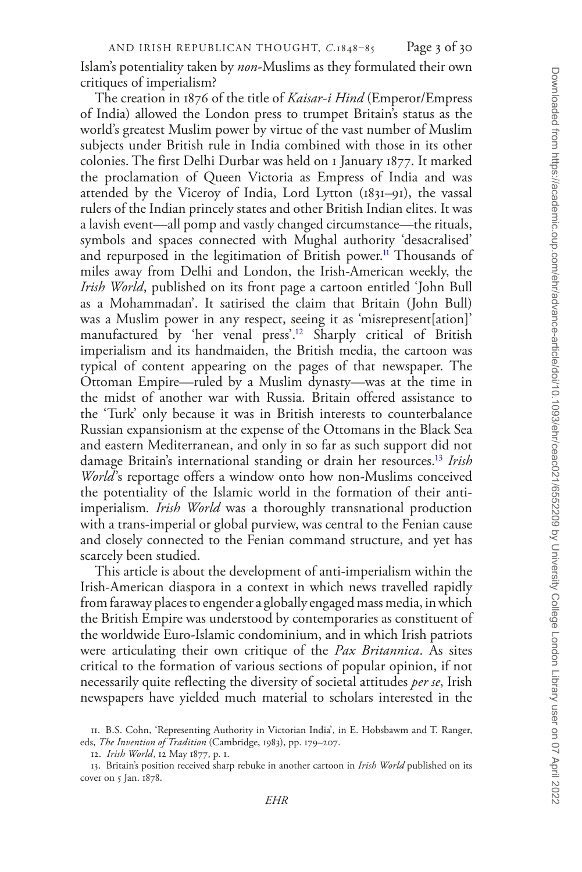Islam's potentiality taken by *non*-Muslims as they formulated their own critiques of imperialism?

The creation in 1876 of the title of *Kaisar-i Hind* (Emperor/Empress of India) allowed the London press to trumpet Britain's status as the world's greatest Muslim power by virtue of the vast number of Muslim subjects under British rule in India combined with those in its other colonies. The first Delhi Durbar was held on 1 January 1877. It marked the proclamation of Queen Victoria as Empress of India and was attended by the Viceroy of India, Lord Lytton (1831–91), the vassal rulers of the Indian princely states and other British Indian elites. It was a lavish event—all pomp and vastly changed circumstance—the rituals, symbols and spaces connected with Mughal authority 'desacralised' and repurposed in the legitimation of British power.<sup>11</sup> Thousands of miles away from Delhi and London, the Irish-American weekly, the *Irish World*, published on its front page a cartoon entitled 'John Bull as a Mohammadan'. It satirised the claim that Britain (John Bull) was a Muslim power in any respect, seeing it as 'misrepresent[ation]' manufactured by 'her venal press'.<sup>12</sup> Sharply critical of British imperialism and its handmaiden, the British media, the cartoon was typical of content appearing on the pages of that newspaper. The Ottoman Empire—ruled by a Muslim dynasty—was at the time in the midst of another war with Russia. Britain offered assistance to the 'Turk' only because it was in British interests to counterbalance Russian expansionism at the expense of the Ottomans in the Black Sea and eastern Mediterranean, and only in so far as such support did not damage Britain's international standing or drain her resources.[13](#page-2-2) *Irish World*'s reportage offers a window onto how non-Muslims conceived the potentiality of the Islamic world in the formation of their antiimperialism*. Irish World* was a thoroughly transnational production with a trans-imperial or global purview, was central to the Fenian cause and closely connected to the Fenian command structure, and yet has scarcely been studied.

This article is about the development of anti-imperialism within the Irish-American diaspora in a context in which news travelled rapidly from faraway places to engender a globally engaged mass media, in which the British Empire was understood by contemporaries as constituent of the worldwide Euro-Islamic condominium, and in which Irish patriots were articulating their own critique of the *Pax Britannica*. As sites critical to the formation of various sections of popular opinion, if not necessarily quite reflecting the diversity of societal attitudes *per se*, Irish newspapers have yielded much material to scholars interested in the

<span id="page-2-0"></span><sup>11.</sup> B.S. Cohn, 'Representing Authority in Victorian India', in E. Hobsbawm and T. Ranger, eds, *The Invention of Tradition* (Cambridge, 1983), pp. 179–207.

<span id="page-2-2"></span><span id="page-2-1"></span><sup>12.</sup> *Irish World*, 12 May 1877, p. 1.

<sup>13.</sup> Britain's position received sharp rebuke in another cartoon in *Irish World* published on its cover on 5 Jan. 1878.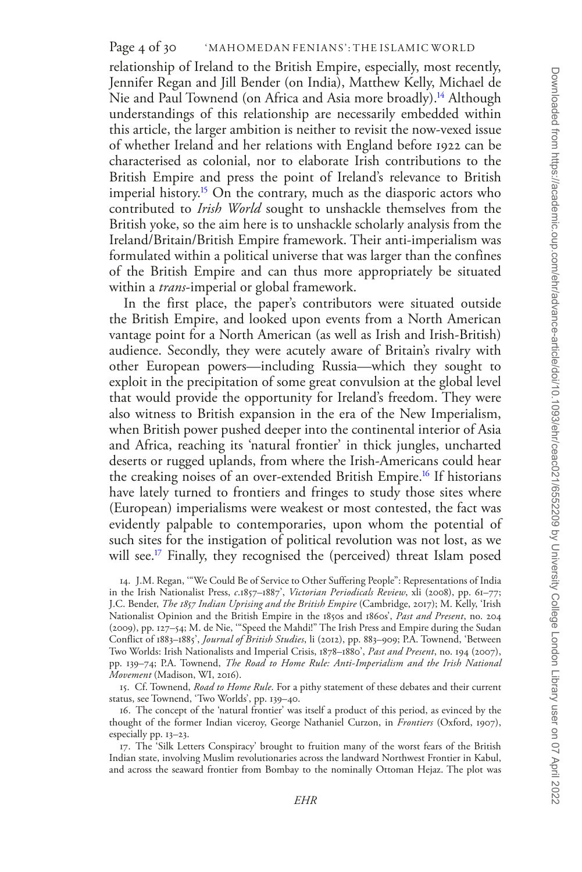relationship of Ireland to the British Empire, especially, most recently, Jennifer Regan and Jill Bender (on India), Matthew Kelly, Michael de Nie and Paul Townend (on Africa and Asia more broadly).<sup>[14](#page-3-0)</sup> Although understandings of this relationship are necessarily embedded within this article, the larger ambition is neither to revisit the now-vexed issue of whether Ireland and her relations with England before 1922 can be characterised as colonial, nor to elaborate Irish contributions to the British Empire and press the point of Ireland's relevance to British imperial history.<sup>[15](#page-3-1)</sup> On the contrary, much as the diasporic actors who contributed to *Irish World* sought to unshackle themselves from the British yoke, so the aim here is to unshackle scholarly analysis from the Ireland/Britain/British Empire framework. Their anti-imperialism was formulated within a political universe that was larger than the confines of the British Empire and can thus more appropriately be situated within a *trans*-imperial or global framework.

In the first place, the paper's contributors were situated outside the British Empire, and looked upon events from a North American vantage point for a North American (as well as Irish and Irish-British) audience. Secondly, they were acutely aware of Britain's rivalry with other European powers—including Russia—which they sought to exploit in the precipitation of some great convulsion at the global level that would provide the opportunity for Ireland's freedom. They were also witness to British expansion in the era of the New Imperialism, when British power pushed deeper into the continental interior of Asia and Africa, reaching its 'natural frontier' in thick jungles, uncharted deserts or rugged uplands, from where the Irish-Americans could hear the creaking noises of an over-extended British Empire[.16](#page-3-2) If historians have lately turned to frontiers and fringes to study those sites where (European) imperialisms were weakest or most contested, the fact was evidently palpable to contemporaries, upon whom the potential of such sites for the instigation of political revolution was not lost, as we will see.<sup>[17](#page-3-3)</sup> Finally, they recognised the (perceived) threat Islam posed

<span id="page-3-0"></span>14. J.M. Regan, '"We Could Be of Service to Other Suffering People": Representations of India in the Irish Nationalist Press, *c*.1857–1887', *Victorian Periodicals Review*, xli (2008), pp. 61–77; J.C. Bender, *The 1857 Indian Uprising and the British Empire* (Cambridge, 2017); M. Kelly, 'Irish Nationalist Opinion and the British Empire in the 1850s and 1860s', *Past and Present*, no. 204 (2009), pp. 127–54; M. de Nie, '"Speed the Mahdi!" The Irish Press and Empire during the Sudan Conflict of 1883–1885', *Journal of British Studies*, li (2012), pp. 883–909; P.A. Townend, 'Between Two Worlds: Irish Nationalists and Imperial Crisis, 1878–1880', *Past and Present*, no. 194 (2007), pp. 139–74; P.A. Townend, *The Road to Home Rule: Anti-Imperialism and the Irish National Movement* (Madison, WI, 2016).

<span id="page-3-1"></span>15. Cf. Townend, *Road to Home Rule*. For a pithy statement of these debates and their current status, see Townend, 'Two Worlds', pp. 139–40.

<span id="page-3-2"></span>16. The concept of the 'natural frontier' was itself a product of this period, as evinced by the thought of the former Indian viceroy, George Nathaniel Curzon, in *Frontiers* (Oxford, 1907), especially pp. 13–23.

<span id="page-3-3"></span>17. The 'Silk Letters Conspiracy' brought to fruition many of the worst fears of the British Indian state, involving Muslim revolutionaries across the landward Northwest Frontier in Kabul, and across the seaward frontier from Bombay to the nominally Ottoman Hejaz. The plot was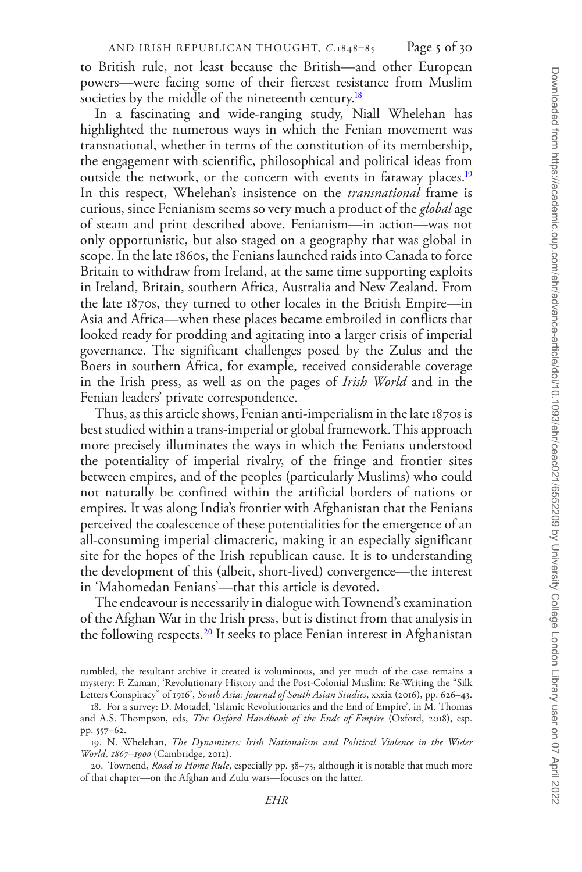to British rule, not least because the British—and other European powers—were facing some of their fiercest resistance from Muslim societies by the middle of the nineteenth century.<sup>[18](#page-4-0)</sup>

In a fascinating and wide-ranging study, Niall Whelehan has highlighted the numerous ways in which the Fenian movement was transnational, whether in terms of the constitution of its membership, the engagement with scientific, philosophical and political ideas from outside the network, or the concern with events in faraway places.<sup>[19](#page-4-1)</sup> In this respect, Whelehan's insistence on the *transnational* frame is curious, since Fenianism seems so very much a product of the *global* age of steam and print described above. Fenianism—in action—was not only opportunistic, but also staged on a geography that was global in scope. In the late 1860s, the Fenians launched raids into Canada to force Britain to withdraw from Ireland, at the same time supporting exploits in Ireland, Britain, southern Africa, Australia and New Zealand. From the late 1870s, they turned to other locales in the British Empire—in Asia and Africa—when these places became embroiled in conflicts that looked ready for prodding and agitating into a larger crisis of imperial governance. The significant challenges posed by the Zulus and the Boers in southern Africa, for example, received considerable coverage in the Irish press, as well as on the pages of *Irish World* and in the Fenian leaders' private correspondence.

Thus, as this article shows, Fenian anti-imperialism in the late 1870s is best studied within a trans-imperial or global framework. This approach more precisely illuminates the ways in which the Fenians understood the potentiality of imperial rivalry, of the fringe and frontier sites between empires, and of the peoples (particularly Muslims) who could not naturally be confined within the artificial borders of nations or empires. It was along India's frontier with Afghanistan that the Fenians perceived the coalescence of these potentialities for the emergence of an all-consuming imperial climacteric, making it an especially significant site for the hopes of the Irish republican cause. It is to understanding the development of this (albeit, short-lived) convergence—the interest in 'Mahomedan Fenians'—that this article is devoted.

The endeavour is necessarily in dialogue with Townend's examination of the Afghan War in the Irish press, but is distinct from that analysis in the following respects.[20](#page-4-2) It seeks to place Fenian interest in Afghanistan

rumbled, the resultant archive it created is voluminous, and yet much of the case remains a mystery: F. Zaman, 'Revolutionary History and the Post-Colonial Muslim: Re-Writing the "Silk Letters Conspiracy" of 1916', *South Asia: Journal of South Asian Studies*, xxxix (2016), pp. 626–43.

<span id="page-4-0"></span><sup>18.</sup> For a survey: D. Motadel, 'Islamic Revolutionaries and the End of Empire', in M. Thomas and A.S. Thompson, eds, *The Oxford Handbook of the Ends of Empire* (Oxford, 2018), esp. pp. 557–62.

<span id="page-4-1"></span><sup>19.</sup> N. Whelehan, *The Dynamiters: Irish Nationalism and Political Violence in the Wider World, 1867–1900* (Cambridge, 2012).

<span id="page-4-2"></span><sup>20.</sup> Townend, *Road to Home Rule*, especially pp. 38–73, although it is notable that much more of that chapter—on the Afghan and Zulu wars—focuses on the latter.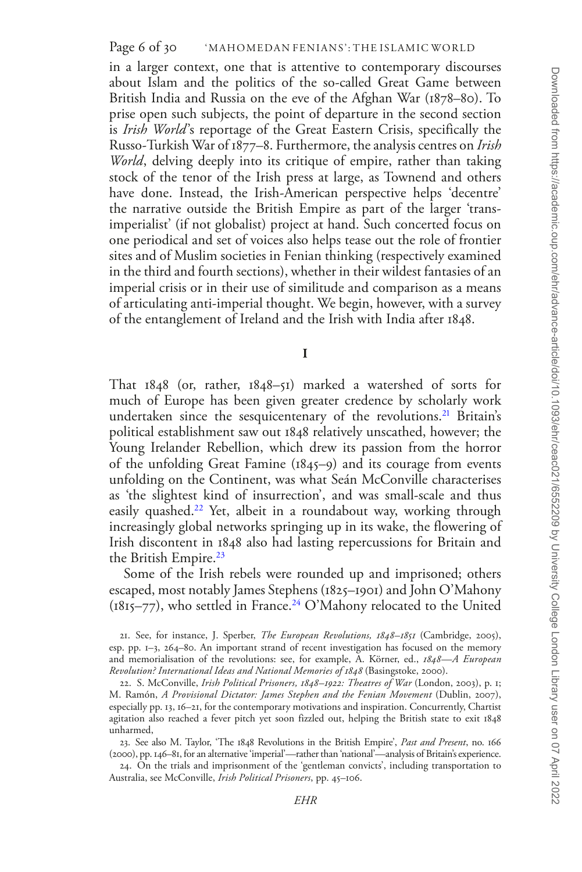in a larger context, one that is attentive to contemporary discourses about Islam and the politics of the so-called Great Game between British India and Russia on the eve of the Afghan War (1878–80). To prise open such subjects, the point of departure in the second section is *Irish World*'s reportage of the Great Eastern Crisis, specifically the Russo-Turkish War of 1877–8. Furthermore, the analysis centres on *Irish World*, delving deeply into its critique of empire, rather than taking stock of the tenor of the Irish press at large, as Townend and others have done. Instead, the Irish-American perspective helps 'decentre' the narrative outside the British Empire as part of the larger 'transimperialist' (if not globalist) project at hand. Such concerted focus on one periodical and set of voices also helps tease out the role of frontier sites and of Muslim societies in Fenian thinking (respectively examined in the third and fourth sections), whether in their wildest fantasies of an imperial crisis or in their use of similitude and comparison as a means of articulating anti-imperial thought. We begin, however, with a survey of the entanglement of Ireland and the Irish with India after 1848.

**I**

That 1848 (or, rather, 1848–51) marked a watershed of sorts for much of Europe has been given greater credence by scholarly work undertaken since the sesquicentenary of the revolutions.<sup>21</sup> Britain's political establishment saw out 1848 relatively unscathed, however; the Young Irelander Rebellion, which drew its passion from the horror of the unfolding Great Famine (1845–9) and its courage from events unfolding on the Continent, was what Seán McConville characterises as 'the slightest kind of insurrection', and was small-scale and thus easily quashed.<sup>22</sup> Yet, albeit in a roundabout way, working through increasingly global networks springing up in its wake, the flowering of Irish discontent in 1848 also had lasting repercussions for Britain and the British Empire.<sup>23</sup>

Some of the Irish rebels were rounded up and imprisoned; others escaped, most notably James Stephens (1825–1901) and John O'Mahony  $(1815–77)$ , who settled in France.<sup>24</sup> O'Mahony relocated to the United

<span id="page-5-0"></span><sup>21.</sup> See, for instance, J. Sperber, *The European Revolutions, 1848–1851* (Cambridge, 2005), esp. pp. 1–3, 264–80. An important strand of recent investigation has focused on the memory and memorialisation of the revolutions: see, for example, A. Körner, ed., *1848—A European Revolution? International Ideas and National Memories of 1848* (Basingstoke, 2000).

<span id="page-5-1"></span><sup>22.</sup> S. McConville, *Irish Political Prisoners, 1848–1922: Theatres of War* (London, 2003), p. 1; M. Ramón, *A Provisional Dictator: James Stephen and the Fenian Movement* (Dublin, 2007), especially pp. 13, 16–21, for the contemporary motivations and inspiration. Concurrently, Chartist agitation also reached a fever pitch yet soon fizzled out, helping the British state to exit 1848 unharmed,

<span id="page-5-2"></span><sup>23.</sup> See also M. Taylor, 'The 1848 Revolutions in the British Empire', *Past and Present*, no. 166 (2000), pp. 146–81, for an alternative 'imperial'—rather than 'national'—analysis of Britain's experience.

<span id="page-5-3"></span><sup>24.</sup> On the trials and imprisonment of the 'gentleman convicts', including transportation to Australia, see McConville, *Irish Political Prisoners*, pp. 45–106.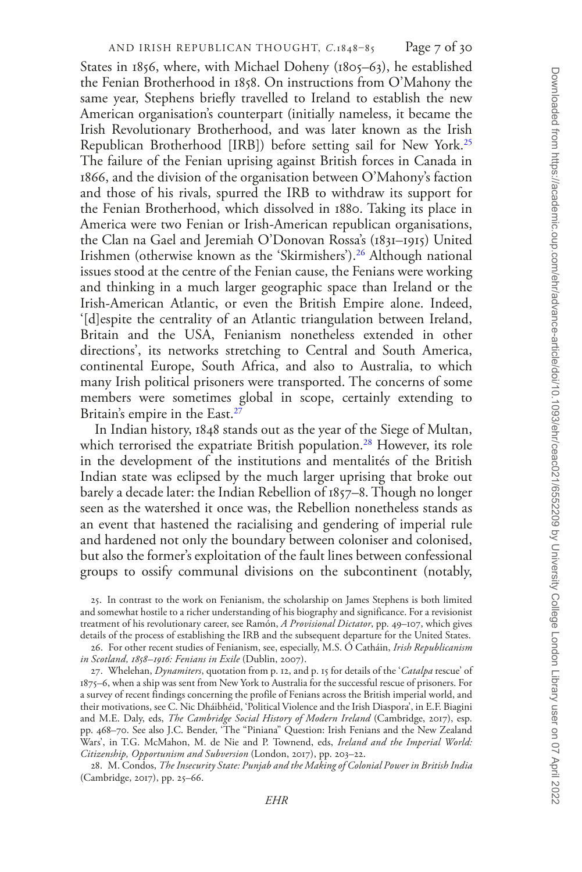States in 1856, where, with Michael Doheny (1805–63), he established the Fenian Brotherhood in 1858. On instructions from O'Mahony the same year, Stephens briefly travelled to Ireland to establish the new American organisation's counterpart (initially nameless, it became the Irish Revolutionary Brotherhood, and was later known as the Irish Republican Brotherhood [IRB]) before setting sail for New York.[25](#page-6-0) The failure of the Fenian uprising against British forces in Canada in 1866, and the division of the organisation between O'Mahony's faction and those of his rivals, spurred the IRB to withdraw its support for the Fenian Brotherhood, which dissolved in 1880. Taking its place in America were two Fenian or Irish-American republican organisations, the Clan na Gael and Jeremiah O'Donovan Rossa's (1831–1915) United Irishmen (otherwise known as the 'Skirmishers').[26](#page-6-1) Although national issues stood at the centre of the Fenian cause, the Fenians were working and thinking in a much larger geographic space than Ireland or the Irish-American Atlantic, or even the British Empire alone. Indeed, '[d]espite the centrality of an Atlantic triangulation between Ireland, Britain and the USA, Fenianism nonetheless extended in other directions', its networks stretching to Central and South America, continental Europe, South Africa, and also to Australia, to which many Irish political prisoners were transported. The concerns of some members were sometimes global in scope, certainly extending to Britain's empire in the East.<sup>[27](#page-6-2)</sup>

In Indian history, 1848 stands out as the year of the Siege of Multan, which terrorised the expatriate British population.<sup>28</sup> However, its role in the development of the institutions and mentalités of the British Indian state was eclipsed by the much larger uprising that broke out barely a decade later: the Indian Rebellion of 1857–8. Though no longer seen as the watershed it once was, the Rebellion nonetheless stands as an event that hastened the racialising and gendering of imperial rule and hardened not only the boundary between coloniser and colonised, but also the former's exploitation of the fault lines between confessional groups to ossify communal divisions on the subcontinent (notably,

<span id="page-6-2"></span>27. Whelehan, *Dynamiters*, quotation from p. 12, and p. 15 for details of the '*Catalpa* rescue' of 1875–6, when a ship was sent from New York to Australia for the successful rescue of prisoners. For a survey of recent findings concerning the profile of Fenians across the British imperial world, and their motivations, see C. Nic Dháibhéid, 'Political Violence and the Irish Diaspora', in E.F. Biagini and M.E. Daly, eds, *The Cambridge Social History of Modern Ireland* (Cambridge, 2017), esp. pp. 468–70. See also J.C. Bender, 'The "Piniana" Question: Irish Fenians and the New Zealand Wars', in T.G. McMahon, M. de Nie and P. Townend, eds, *Ireland and the Imperial World: Citizenship, Opportunism and Subversion* (London, 2017), pp. 203–22.

<span id="page-6-3"></span>28. M. Condos, *The Insecurity State: Punjab and the Making of Colonial Power in British India* (Cambridge, 2017), pp. 25–66.

<span id="page-6-0"></span><sup>25.</sup> In contrast to the work on Fenianism, the scholarship on James Stephens is both limited and somewhat hostile to a richer understanding of his biography and significance. For a revisionist treatment of his revolutionary career, see Ramón, *A Provisional Dictator*, pp. 49–107, which gives details of the process of establishing the IRB and the subsequent departure for the United States.

<span id="page-6-1"></span><sup>26.</sup> For other recent studies of Fenianism, see, especially, M.S. Ó Catháin, *Irish Republicanism in Scotland, 1858–1916: Fenians in Exile* (Dublin, 2007).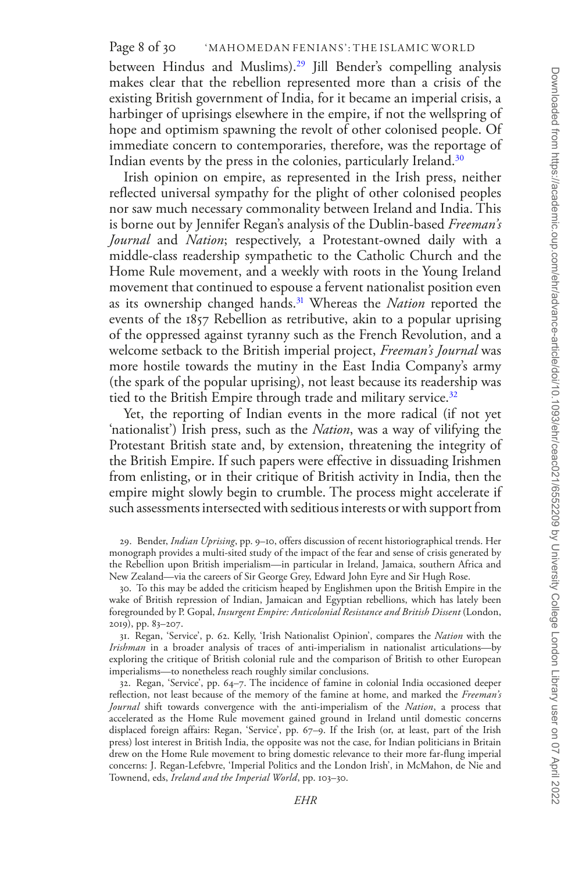## Page 8 of 30 WAHOMEDAN FENIANS': THE ISLAMIC WORLD

between Hindus and Muslims).[29](#page-7-0) Jill Bender's compelling analysis makes clear that the rebellion represented more than a crisis of the existing British government of India, for it became an imperial crisis, a harbinger of uprisings elsewhere in the empire, if not the wellspring of hope and optimism spawning the revolt of other colonised people. Of immediate concern to contemporaries, therefore, was the reportage of Indian events by the press in the colonies, particularly Ireland[.30](#page-7-1)

Irish opinion on empire, as represented in the Irish press, neither reflected universal sympathy for the plight of other colonised peoples nor saw much necessary commonality between Ireland and India. This is borne out by Jennifer Regan's analysis of the Dublin-based *Freeman's Journal* and *Nation*; respectively, a Protestant-owned daily with a middle-class readership sympathetic to the Catholic Church and the Home Rule movement, and a weekly with roots in the Young Ireland movement that continued to espouse a fervent nationalist position even as its ownership changed hands[.31](#page-7-2) Whereas the *Nation* reported the events of the 1857 Rebellion as retributive, akin to a popular uprising of the oppressed against tyranny such as the French Revolution, and a welcome setback to the British imperial project, *Freeman's Journal* was more hostile towards the mutiny in the East India Company's army (the spark of the popular uprising), not least because its readership was tied to the British Empire through trade and military service.<sup>[32](#page-7-3)</sup>

Yet, the reporting of Indian events in the more radical (if not yet 'nationalist') Irish press, such as the *Nation*, was a way of vilifying the Protestant British state and, by extension, threatening the integrity of the British Empire. If such papers were effective in dissuading Irishmen from enlisting, or in their critique of British activity in India, then the empire might slowly begin to crumble. The process might accelerate if such assessments intersected with seditious interests or with support from

<span id="page-7-0"></span>29. Bender, *Indian Uprising*, pp. 9–10, offers discussion of recent historiographical trends. Her monograph provides a multi-sited study of the impact of the fear and sense of crisis generated by the Rebellion upon British imperialism—in particular in Ireland, Jamaica, southern Africa and New Zealand—via the careers of Sir George Grey, Edward John Eyre and Sir Hugh Rose.

<span id="page-7-1"></span>30. To this may be added the criticism heaped by Englishmen upon the British Empire in the wake of British repression of Indian, Jamaican and Egyptian rebellions, which has lately been foregrounded by P. Gopal, *Insurgent Empire: Anticolonial Resistance and British Dissent* (London, 2019), pp. 83–207.

<span id="page-7-2"></span>31. Regan, 'Service', p. 62. Kelly, 'Irish Nationalist Opinion', compares the *Nation* with the *Irishman* in a broader analysis of traces of anti-imperialism in nationalist articulations—by exploring the critique of British colonial rule and the comparison of British to other European imperialisms—to nonetheless reach roughly similar conclusions.

<span id="page-7-3"></span>32. Regan, 'Service', pp. 64–7. The incidence of famine in colonial India occasioned deeper reflection, not least because of the memory of the famine at home, and marked the *Freeman's Journal* shift towards convergence with the anti-imperialism of the *Nation*, a process that accelerated as the Home Rule movement gained ground in Ireland until domestic concerns displaced foreign affairs: Regan, 'Service', pp. 67–9. If the Irish (or, at least, part of the Irish press) lost interest in British India, the opposite was not the case, for Indian politicians in Britain drew on the Home Rule movement to bring domestic relevance to their more far-flung imperial concerns: J. Regan-Lefebvre, 'Imperial Politics and the London Irish', in McMahon, de Nie and Townend, eds, *Ireland and the Imperial World*, pp. 103–30.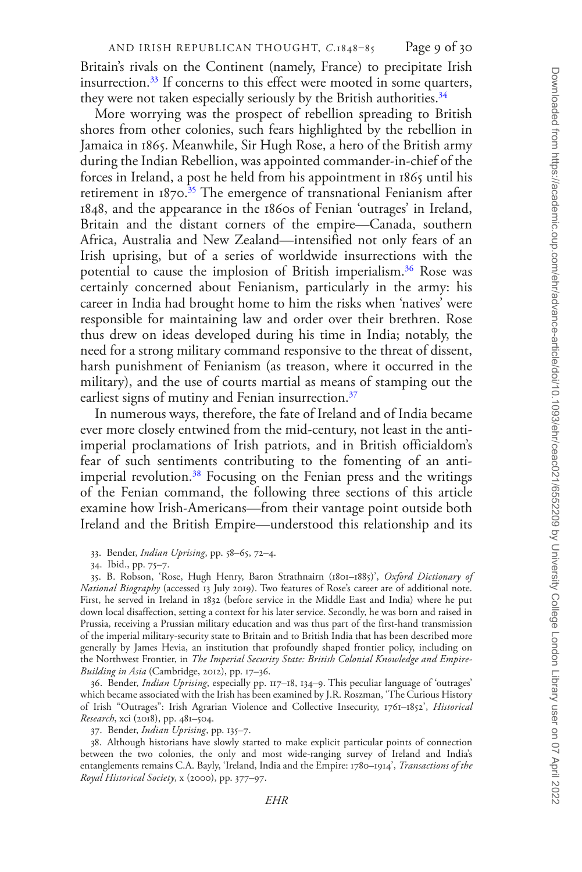Britain's rivals on the Continent (namely, France) to precipitate Irish insurrection[.33](#page-8-0) If concerns to this effect were mooted in some quarters, they were not taken especially seriously by the British authorities.<sup>[34](#page-8-1)</sup>

More worrying was the prospect of rebellion spreading to British shores from other colonies, such fears highlighted by the rebellion in Jamaica in 1865. Meanwhile, Sir Hugh Rose, a hero of the British army during the Indian Rebellion, was appointed commander-in-chief of the forces in Ireland, a post he held from his appointment in 1865 until his retirement in 1870.<sup>[35](#page-8-2)</sup> The emergence of transnational Fenianism after 1848, and the appearance in the 1860s of Fenian 'outrages' in Ireland, Britain and the distant corners of the empire—Canada, southern Africa, Australia and New Zealand—intensified not only fears of an Irish uprising, but of a series of worldwide insurrections with the potential to cause the implosion of British imperialism.[36](#page-8-3) Rose was certainly concerned about Fenianism, particularly in the army: his career in India had brought home to him the risks when 'natives' were responsible for maintaining law and order over their brethren. Rose thus drew on ideas developed during his time in India; notably, the need for a strong military command responsive to the threat of dissent, harsh punishment of Fenianism (as treason, where it occurred in the military), and the use of courts martial as means of stamping out the earliest signs of mutiny and Fenian insurrection.<sup>37</sup>

In numerous ways, therefore, the fate of Ireland and of India became ever more closely entwined from the mid-century, not least in the antiimperial proclamations of Irish patriots, and in British officialdom's fear of such sentiments contributing to the fomenting of an antiimperial revolution.<sup>38</sup> Focusing on the Fenian press and the writings of the Fenian command, the following three sections of this article examine how Irish-Americans—from their vantage point outside both Ireland and the British Empire—understood this relationship and its

<span id="page-8-3"></span>36. Bender, *Indian Uprising*, especially pp. 117–18, 134–9. This peculiar language of 'outrages' which became associated with the Irish has been examined by J.R. Roszman, 'The Curious History of Irish "Outrages": Irish Agrarian Violence and Collective Insecurity, 1761–1852', *Historical Research*, xci (2018), pp. 481–504.

<span id="page-8-5"></span><span id="page-8-4"></span>37. Bender, *Indian Uprising*, pp. 135–7.

38. Although historians have slowly started to make explicit particular points of connection between the two colonies, the only and most wide-ranging survey of Ireland and India's entanglements remains C.A. Bayly, 'Ireland, India and the Empire: 1780–1914', *Transactions of the Royal Historical Society*, x (2000), pp. 377–97.

<span id="page-8-0"></span><sup>33.</sup> Bender, *Indian Uprising*, pp. 58–65, 72–4.

<span id="page-8-2"></span><span id="page-8-1"></span><sup>34.</sup> Ibid., pp. 75–7.

<sup>35.</sup> B. Robson, 'Rose, Hugh Henry, Baron Strathnairn (1801–1885)', *Oxford Dictionary of National Biography* (accessed 13 July 2019). Two features of Rose's career are of additional note. First, he served in Ireland in 1832 (before service in the Middle East and India) where he put down local disaffection, setting a context for his later service. Secondly, he was born and raised in Prussia, receiving a Prussian military education and was thus part of the first-hand transmission of the imperial military-security state to Britain and to British India that has been described more generally by James Hevia, an institution that profoundly shaped frontier policy, including on the Northwest Frontier, in *The Imperial Security State: British Colonial Knowledge and Empire-Building in Asia* (Cambridge, 2012), pp. 17–36.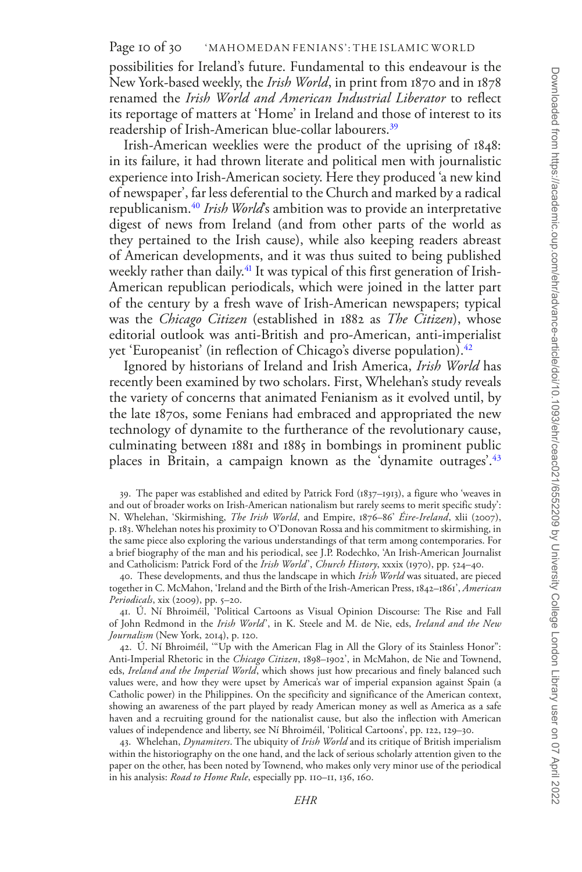#### Page 10 of 30 WAHOMEDAN FENIANS': THE ISLAMIC WORLD

possibilities for Ireland's future. Fundamental to this endeavour is the New York-based weekly, the *Irish World*, in print from 1870 and in 1878 renamed the *Irish World and American Industrial Liberator* to reflect its reportage of matters at 'Home' in Ireland and those of interest to its readership of Irish-American blue-collar labourers[.39](#page-9-0)

Irish-American weeklies were the product of the uprising of 1848: in its failure, it had thrown literate and political men with journalistic experience into Irish-American society. Here they produced 'a new kind of newspaper', far less deferential to the Church and marked by a radical republicanism.[40](#page-9-1) *Irish World*'s ambition was to provide an interpretative digest of news from Ireland (and from other parts of the world as they pertained to the Irish cause), while also keeping readers abreast of American developments, and it was thus suited to being published weekly rather than daily.<sup>41</sup> It was typical of this first generation of Irish-American republican periodicals, which were joined in the latter part of the century by a fresh wave of Irish-American newspapers; typical was the *Chicago Citizen* (established in 1882 as *The Citizen*), whose editorial outlook was anti-British and pro-American, anti-imperialist yet 'Europeanist' (in reflection of Chicago's diverse population).<sup>[42](#page-9-3)</sup>

Ignored by historians of Ireland and Irish America, *Irish World* has recently been examined by two scholars. First, Whelehan's study reveals the variety of concerns that animated Fenianism as it evolved until, by the late 1870s, some Fenians had embraced and appropriated the new technology of dynamite to the furtherance of the revolutionary cause, culminating between 1881 and 1885 in bombings in prominent public places in Britain, a campaign known as the 'dynamite outrages'.<sup>43</sup>

<span id="page-9-1"></span>40. These developments, and thus the landscape in which *Irish World* was situated, are pieced together in C. McMahon, 'Ireland and the Birth of the Irish-American Press, 1842–1861', *American Periodicals*, xix (2009), pp. 5–20.

<span id="page-9-2"></span>41. Ú. Ní Bhroiméil, 'Political Cartoons as Visual Opinion Discourse: The Rise and Fall of John Redmond in the *Irish World*', in K. Steele and M. de Nie, eds, *Ireland and the New Journalism* (New York, 2014), p. 120.

<span id="page-9-3"></span>42. Ú. Ní Bhroiméil, '"Up with the American Flag in All the Glory of its Stainless Honor": Anti-Imperial Rhetoric in the *Chicago Citizen*, 1898–1902', in McMahon, de Nie and Townend, eds, *Ireland and the Imperial World*, which shows just how precarious and finely balanced such values were, and how they were upset by America's war of imperial expansion against Spain (a Catholic power) in the Philippines. On the specificity and significance of the American context, showing an awareness of the part played by ready American money as well as America as a safe haven and a recruiting ground for the nationalist cause, but also the inflection with American values of independence and liberty, see Ní Bhroiméil, 'Political Cartoons', pp. 122, 129–30.

<span id="page-9-4"></span>43. Whelehan, *Dynamiters*. The ubiquity of *Irish World* and its critique of British imperialism within the historiography on the one hand, and the lack of serious scholarly attention given to the paper on the other, has been noted by Townend, who makes only very minor use of the periodical in his analysis: *Road to Home Rule*, especially pp. 110–11, 136, 160.

<span id="page-9-0"></span><sup>39.</sup> The paper was established and edited by Patrick Ford (1837–1913), a figure who 'weaves in and out of broader works on Irish-American nationalism but rarely seems to merit specific study': N. Whelehan, 'Skirmishing, *The Irish World*, and Empire, 1876–86' *Eire-Ireland*, xlii (2007), p. 183. Whelehan notes his proximity to O'Donovan Rossa and his commitment to skirmishing, in the same piece also exploring the various understandings of that term among contemporaries. For a brief biography of the man and his periodical, see J.P. Rodechko, 'An Irish-American Journalist and Catholicism: Patrick Ford of the *Irish World*', *Church History*, xxxix (1970), pp. 524–40.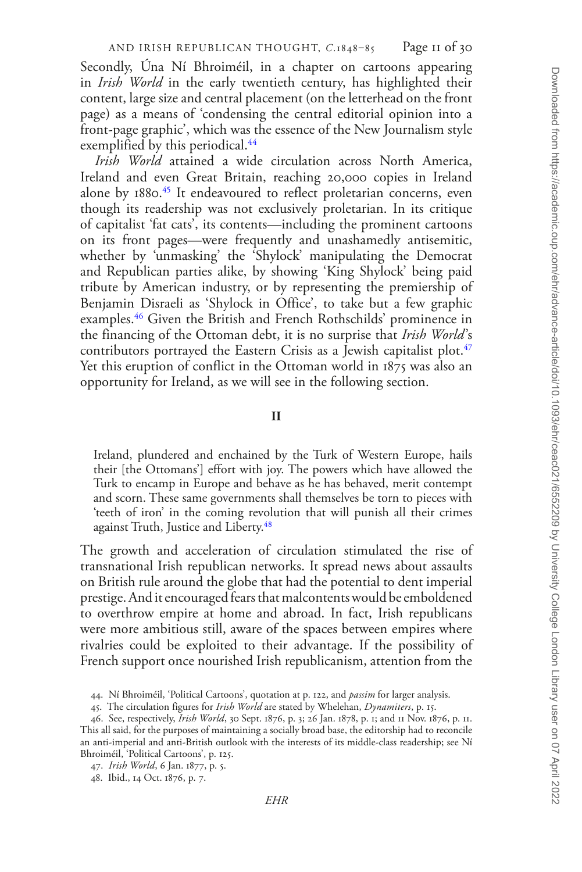Secondly, Úna Ní Bhroiméil, in a chapter on cartoons appearing in *Irish World* in the early twentieth century, has highlighted their content, large size and central placement (on the letterhead on the front page) as a means of 'condensing the central editorial opinion into a front-page graphic', which was the essence of the New Journalism style exemplified by this periodical.<sup>44</sup>

*Irish World* attained a wide circulation across North America, Ireland and even Great Britain, reaching 20,000 copies in Ireland alone by 1880.<sup>45</sup> It endeavoured to reflect proletarian concerns, even though its readership was not exclusively proletarian. In its critique of capitalist 'fat cats', its contents—including the prominent cartoons on its front pages—were frequently and unashamedly antisemitic, whether by 'unmasking' the 'Shylock' manipulating the Democrat and Republican parties alike, by showing 'King Shylock' being paid tribute by American industry, or by representing the premiership of Benjamin Disraeli as 'Shylock in Office', to take but a few graphic examples[.46](#page-10-2) Given the British and French Rothschilds' prominence in the financing of the Ottoman debt, it is no surprise that *Irish World*'s contributors portrayed the Eastern Crisis as a Jewish capitalist plot.<sup>[47](#page-10-3)</sup> Yet this eruption of conflict in the Ottoman world in 1875 was also an opportunity for Ireland, as we will see in the following section.

**II**

Ireland, plundered and enchained by the Turk of Western Europe, hails their [the Ottomans'] effort with joy. The powers which have allowed the Turk to encamp in Europe and behave as he has behaved, merit contempt and scorn. These same governments shall themselves be torn to pieces with 'teeth of iron' in the coming revolution that will punish all their crimes against Truth, Justice and Liberty.<sup>[48](#page-10-4)</sup>

The growth and acceleration of circulation stimulated the rise of transnational Irish republican networks. It spread news about assaults on British rule around the globe that had the potential to dent imperial prestige. And it encouraged fears that malcontents would be emboldened to overthrow empire at home and abroad. In fact, Irish republicans were more ambitious still, aware of the spaces between empires where rivalries could be exploited to their advantage. If the possibility of French support once nourished Irish republicanism, attention from the

<span id="page-10-0"></span><sup>44.</sup> Ní Bhroiméil, 'Political Cartoons', quotation at p. 122, and *passim* for larger analysis.

<span id="page-10-2"></span><span id="page-10-1"></span><sup>45.</sup> The circulation figures for *Irish World* are stated by Whelehan, *Dynamiters*, p. 15.

<sup>46.</sup> See, respectively, *Irish World*, 30 Sept. 1876, p. 3; 26 Jan. 1878, p. 1; and 11 Nov. 1876, p. 11. This all said, for the purposes of maintaining a socially broad base, the editorship had to reconcile an anti-imperial and anti-British outlook with the interests of its middle-class readership; see Ní Bhroiméil, 'Political Cartoons', p. 125.

<span id="page-10-3"></span><sup>47.</sup> *Irish World*, 6 Jan. 1877, p. 5.

<span id="page-10-4"></span><sup>48.</sup> Ibid., 14 Oct. 1876, p. 7.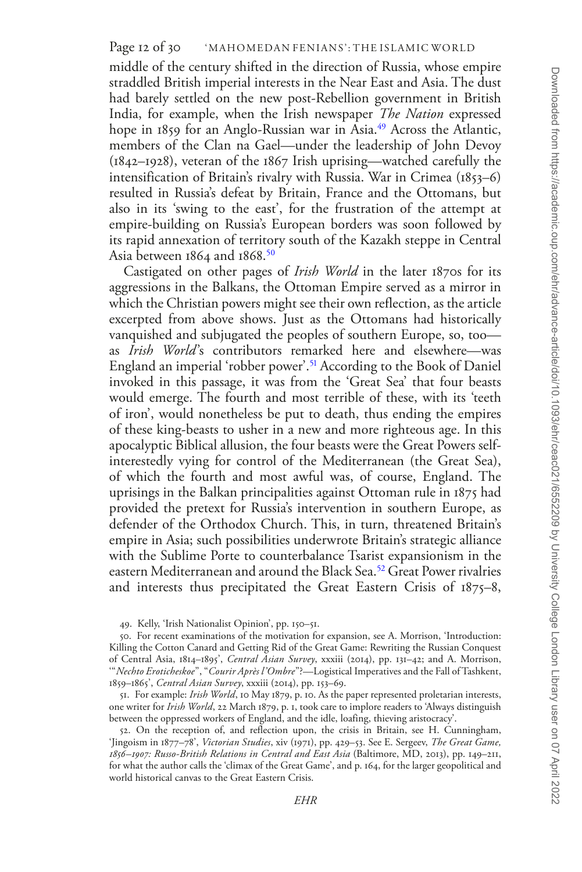middle of the century shifted in the direction of Russia, whose empire straddled British imperial interests in the Near East and Asia. The dust had barely settled on the new post-Rebellion government in British India, for example, when the Irish newspaper *The Nation* expressed hope in 1859 for an Anglo-Russian war in Asia.<sup>49</sup> Across the Atlantic, members of the Clan na Gael—under the leadership of John Devoy (1842–1928), veteran of the 1867 Irish uprising—watched carefully the intensification of Britain's rivalry with Russia. War in Crimea (1853–6) resulted in Russia's defeat by Britain, France and the Ottomans, but also in its 'swing to the east', for the frustration of the attempt at empire-building on Russia's European borders was soon followed by its rapid annexation of territory south of the Kazakh steppe in Central Asia between 1864 and 1868.<sup>50</sup>

Castigated on other pages of *Irish World* in the later 1870s for its aggressions in the Balkans, the Ottoman Empire served as a mirror in which the Christian powers might see their own reflection, as the article excerpted from above shows. Just as the Ottomans had historically vanquished and subjugated the peoples of southern Europe, so, too as *Irish World*'s contributors remarked here and elsewhere—was England an imperial 'robber power'[.51](#page-11-2) According to the Book of Daniel invoked in this passage, it was from the 'Great Sea' that four beasts would emerge. The fourth and most terrible of these, with its 'teeth of iron', would nonetheless be put to death, thus ending the empires of these king-beasts to usher in a new and more righteous age. In this apocalyptic Biblical allusion, the four beasts were the Great Powers selfinterestedly vying for control of the Mediterranean (the Great Sea), of which the fourth and most awful was, of course, England. The uprisings in the Balkan principalities against Ottoman rule in 1875 had provided the pretext for Russia's intervention in southern Europe, as defender of the Orthodox Church. This, in turn, threatened Britain's empire in Asia; such possibilities underwrote Britain's strategic alliance with the Sublime Porte to counterbalance Tsarist expansionism in the eastern Mediterranean and around the Black Sea.[52](#page-11-3) Great Power rivalries and interests thus precipitated the Great Eastern Crisis of 1875–8,

<span id="page-11-1"></span><span id="page-11-0"></span>49. Kelly, 'Irish Nationalist Opinion', pp. 150–51.

<span id="page-11-2"></span>51. For example: *Irish World*, 10 May 1879, p. 10. As the paper represented proletarian interests, one writer for *Irish World*, 22 March 1879, p. 1, took care to implore readers to 'Always distinguish between the oppressed workers of England, and the idle, loafing, thieving aristocracy'.

<span id="page-11-3"></span>52. On the reception of, and reflection upon, the crisis in Britain, see H. Cunningham, 'Jingoism in 1877–78', *Victorian Studies*, xiv (1971), pp. 429–53. See E. Sergeev, *The Great Game, 1856–1907: Russo-British Relations in Central and East Asia* (Baltimore, MD, 2013), pp. 149–211, for what the author calls the 'climax of the Great Game', and p. 164, for the larger geopolitical and world historical canvas to the Great Eastern Crisis.

<sup>50.</sup> For recent examinations of the motivation for expansion, see A. Morrison, 'Introduction: Killing the Cotton Canard and Getting Rid of the Great Game: Rewriting the Russian Conquest of Central Asia, 1814–1895', *Central Asian Survey*, xxxiii (2014), pp. 131–42; and A. Morrison, '"*Nechto Eroticheskoe*", "*Courir Après l'Ombre*"?—Logistical Imperatives and the Fall of Tashkent, 1859–1865', *Central Asian Survey*, xxxiii (2014), pp. 153–69.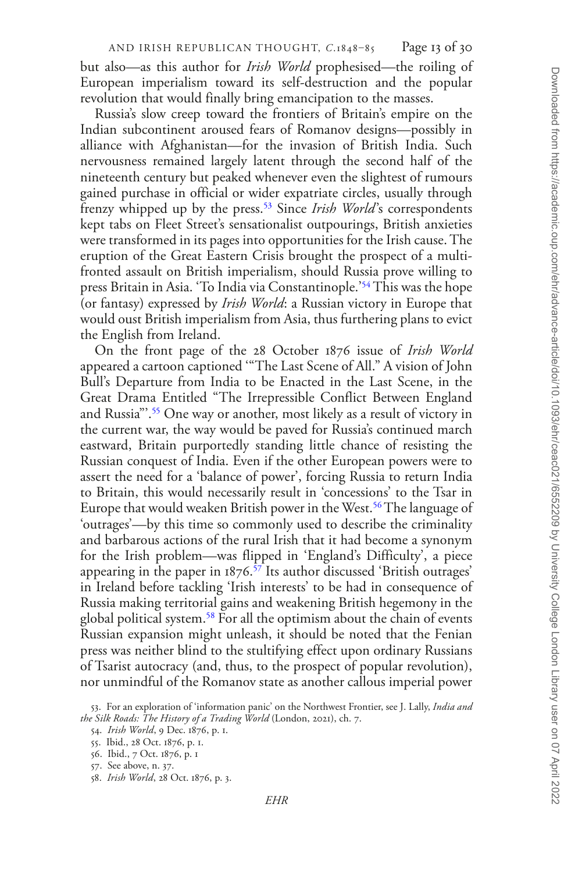but also—as this author for *Irish World* prophesised—the roiling of European imperialism toward its self-destruction and the popular revolution that would finally bring emancipation to the masses.

Russia's slow creep toward the frontiers of Britain's empire on the Indian subcontinent aroused fears of Romanov designs—possibly in alliance with Afghanistan—for the invasion of British India. Such nervousness remained largely latent through the second half of the nineteenth century but peaked whenever even the slightest of rumours gained purchase in official or wider expatriate circles, usually through frenzy whipped up by the press.<sup>53</sup> Since *Irish World's* correspondents kept tabs on Fleet Street's sensationalist outpourings, British anxieties were transformed in its pages into opportunities for the Irish cause. The eruption of the Great Eastern Crisis brought the prospect of a multifronted assault on British imperialism, should Russia prove willing to press Britain in Asia. 'To India via Constantinople.['54](#page-12-1) This was the hope (or fantasy) expressed by *Irish World*: a Russian victory in Europe that would oust British imperialism from Asia, thus furthering plans to evict the English from Ireland.

On the front page of the 28 October 1876 issue of *Irish World* appeared a cartoon captioned '"The Last Scene of All." A vision of John Bull's Departure from India to be Enacted in the Last Scene, in the Great Drama Entitled "The Irrepressible Conflict Between England and Russia"'.<sup>55</sup> One way or another, most likely as a result of victory in the current war, the way would be paved for Russia's continued march eastward, Britain purportedly standing little chance of resisting the Russian conquest of India. Even if the other European powers were to assert the need for a 'balance of power', forcing Russia to return India to Britain, this would necessarily result in 'concessions' to the Tsar in Europe that would weaken British power in the West.<sup>[56](#page-12-3)</sup> The language of 'outrages'—by this time so commonly used to describe the criminality and barbarous actions of the rural Irish that it had become a synonym for the Irish problem—was flipped in 'England's Difficulty', a piece appearing in the paper in  $1876$ .<sup>[57](#page-12-4)</sup> Its author discussed 'British outrages' in Ireland before tackling 'Irish interests' to be had in consequence of Russia making territorial gains and weakening British hegemony in the global political system.[58](#page-12-5) For all the optimism about the chain of events Russian expansion might unleash, it should be noted that the Fenian press was neither blind to the stultifying effect upon ordinary Russians of Tsarist autocracy (and, thus, to the prospect of popular revolution), nor unmindful of the Romanov state as another callous imperial power

<span id="page-12-0"></span><sup>53.</sup> For an exploration of 'information panic' on the Northwest Frontier, see J. Lally, *India and the Silk Roads: The History of a Trading World* (London, 2021), ch. 7.

<span id="page-12-1"></span><sup>54.</sup> *Irish World*, 9 Dec. 1876, p. 1.

<span id="page-12-2"></span><sup>55.</sup> Ibid., 28 Oct. 1876, p. 1.

<span id="page-12-3"></span><sup>56.</sup> Ibid., 7 Oct. 1876, p. 1

<span id="page-12-4"></span><sup>57.</sup> See above, n. 37.

<span id="page-12-5"></span><sup>58.</sup> *Irish World*, 28 Oct. 1876, p. 3.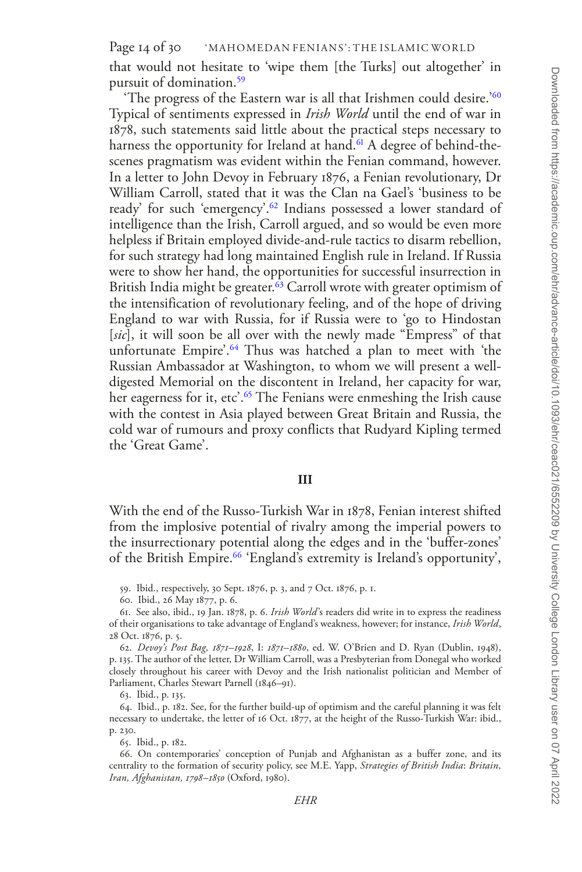that would not hesitate to 'wipe them [the Turks] out altogether' in pursuit of domination[.59](#page-13-0)

'The progress of the Eastern war is all that Irishmen could desire.['60](#page-13-1) Typical of sentiments expressed in *Irish World* until the end of war in 1878, such statements said little about the practical steps necessary to harness the opportunity for Ireland at hand.<sup>61</sup> A degree of behind-thescenes pragmatism was evident within the Fenian command, however. In a letter to John Devoy in February 1876, a Fenian revolutionary, Dr William Carroll, stated that it was the Clan na Gael's 'business to be ready' for such 'emergency'.<sup>62</sup> Indians possessed a lower standard of intelligence than the Irish, Carroll argued, and so would be even more helpless if Britain employed divide-and-rule tactics to disarm rebellion, for such strategy had long maintained English rule in Ireland. If Russia were to show her hand, the opportunities for successful insurrection in British India might be greater.<sup>63</sup> Carroll wrote with greater optimism of the intensification of revolutionary feeling, and of the hope of driving England to war with Russia, for if Russia were to 'go to Hindostan [*sic*], it will soon be all over with the newly made "Empress" of that unfortunate Empire'.<sup>64</sup> Thus was hatched a plan to meet with 'the Russian Ambassador at Washington, to whom we will present a welldigested Memorial on the discontent in Ireland, her capacity for war, her eagerness for it, etc'.<sup>65</sup> The Fenians were enmeshing the Irish cause with the contest in Asia played between Great Britain and Russia, the cold war of rumours and proxy conflicts that Rudyard Kipling termed the 'Great Game'.

## **III**

With the end of the Russo-Turkish War in 1878, Fenian interest shifted from the implosive potential of rivalry among the imperial powers to the insurrectionary potential along the edges and in the 'buffer-zones' of the British Empire[.66](#page-13-7) 'England's extremity is Ireland's opportunity',

<span id="page-13-0"></span>59. Ibid., respectively, 30 Sept. 1876, p. 3, and 7 Oct. 1876, p. 1.

<span id="page-13-2"></span><span id="page-13-1"></span>60. Ibid., 26 May 1877, p. 6.

<span id="page-13-5"></span><span id="page-13-4"></span>63. Ibid., p. 135.

64. Ibid., p. 182. See, for the further build-up of optimism and the careful planning it was felt necessary to undertake, the letter of 16 Oct. 1877, at the height of the Russo-Turkish War: ibid., p. 230.

<span id="page-13-7"></span><span id="page-13-6"></span>65. Ibid., p. 182.

66. On contemporaries' conception of Punjab and Afghanistan as a buffer zone, and its centrality to the formation of security policy, see M.E. Yapp, *Strategies of British India*: *Britain, Iran, Afghanistan, 1798–1850* (Oxford, 1980).

<sup>61.</sup> See also, ibid., 19 Jan. 1878, p. 6. *Irish World*'s readers did write in to express the readiness of their organisations to take advantage of England's weakness, however; for instance, *Irish World*, 28 Oct. 1876, p. 5.

<span id="page-13-3"></span><sup>62.</sup> *Devoy's Post Bag, 1871–1928*, I: *1871–1880*, ed. W. O'Brien and D. Ryan (Dublin, 1948), p. 135. The author of the letter, Dr William Carroll, was a Presbyterian from Donegal who worked closely throughout his career with Devoy and the Irish nationalist politician and Member of Parliament, Charles Stewart Parnell (1846–91).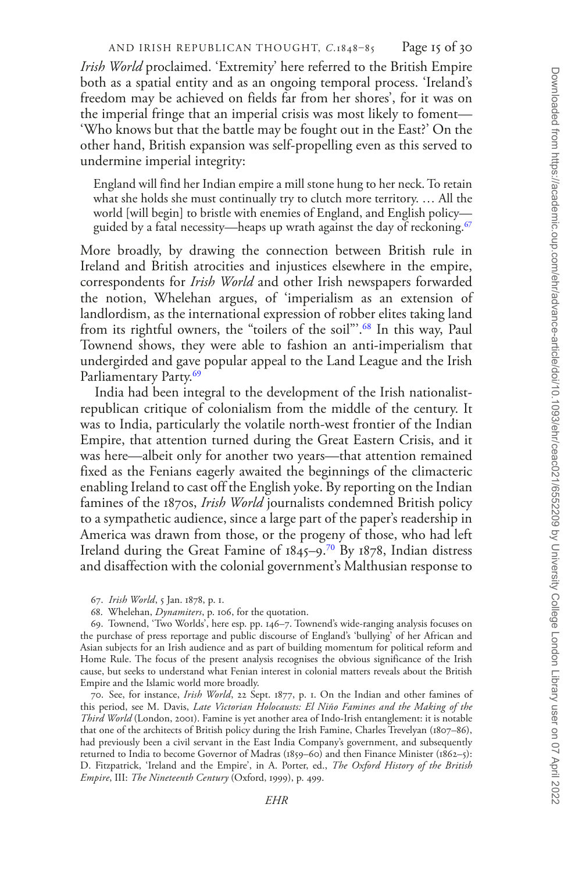*Irish World* proclaimed. 'Extremity' here referred to the British Empire both as a spatial entity and as an ongoing temporal process. 'Ireland's freedom may be achieved on fields far from her shores', for it was on the imperial fringe that an imperial crisis was most likely to foment— 'Who knows but that the battle may be fought out in the East?' On the other hand, British expansion was self-propelling even as this served to undermine imperial integrity:

England will find her Indian empire a mill stone hung to her neck. To retain what she holds she must continually try to clutch more territory. … All the world [will begin] to bristle with enemies of England, and English policy guided by a fatal necessity—heaps up wrath against the day of reckoning.<sup>67</sup>

More broadly, by drawing the connection between British rule in Ireland and British atrocities and injustices elsewhere in the empire, correspondents for *Irish World* and other Irish newspapers forwarded the notion, Whelehan argues, of 'imperialism as an extension of landlordism, as the international expression of robber elites taking land from its rightful owners, the "toilers of the soil"'.<sup>[68](#page-14-1)</sup> In this way, Paul Townend shows, they were able to fashion an anti-imperialism that undergirded and gave popular appeal to the Land League and the Irish Parliamentary Party.<sup>69</sup>

India had been integral to the development of the Irish nationalistrepublican critique of colonialism from the middle of the century. It was to India, particularly the volatile north-west frontier of the Indian Empire, that attention turned during the Great Eastern Crisis, and it was here—albeit only for another two years—that attention remained fixed as the Fenians eagerly awaited the beginnings of the climacteric enabling Ireland to cast off the English yoke. By reporting on the Indian famines of the 1870s, *Irish World* journalists condemned British policy to a sympathetic audience, since a large part of the paper's readership in America was drawn from those, or the progeny of those, who had left Ireland during the Great Famine of 1845–9[.70](#page-14-3) By 1878, Indian distress and disaffection with the colonial government's Malthusian response to

<span id="page-14-3"></span>70. See, for instance, *Irish World*, 22 Sept. 1877, p. 1. On the Indian and other famines of this period, see M. Davis, *Late Victorian Holocausts: El Niño Famines and the Making of the Third World* (London, 2001). Famine is yet another area of Indo-Irish entanglement: it is notable that one of the architects of British policy during the Irish Famine, Charles Trevelyan (1807–86), had previously been a civil servant in the East India Company's government, and subsequently returned to India to become Governor of Madras (1859–60) and then Finance Minister (1862–5): D. Fitzpatrick, 'Ireland and the Empire', in A. Porter, ed., *The Oxford History of the British Empire*, III: *The Nineteenth Century* (Oxford, 1999), p. 499.

<span id="page-14-0"></span><sup>67.</sup> *Irish World*, 5 Jan. 1878, p. 1.

<span id="page-14-2"></span><span id="page-14-1"></span><sup>68.</sup> Whelehan, *Dynamiters*, p. 106, for the quotation.

<sup>69.</sup> Townend, 'Two Worlds', here esp. pp. 146–7. Townend's wide-ranging analysis focuses on the purchase of press reportage and public discourse of England's 'bullying' of her African and Asian subjects for an Irish audience and as part of building momentum for political reform and Home Rule. The focus of the present analysis recognises the obvious significance of the Irish cause, but seeks to understand what Fenian interest in colonial matters reveals about the British Empire and the Islamic world more broadly.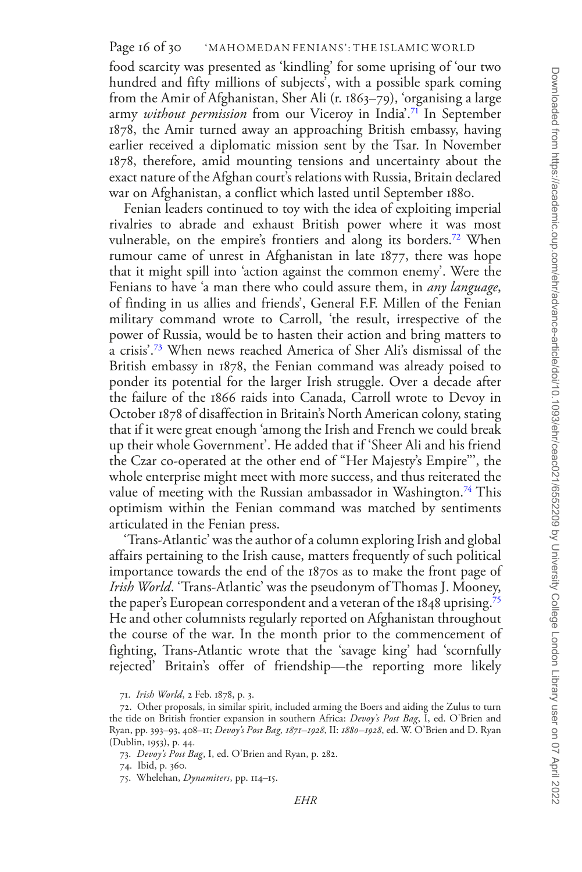food scarcity was presented as 'kindling' for some uprising of 'our two hundred and fifty millions of subjects', with a possible spark coming from the Amir of Afghanistan, Sher Ali (r. 1863–79), 'organising a large army *without permission* from our Viceroy in India'[.71](#page-15-0) In September 1878, the Amir turned away an approaching British embassy, having earlier received a diplomatic mission sent by the Tsar. In November 1878, therefore, amid mounting tensions and uncertainty about the exact nature of the Afghan court's relations with Russia, Britain declared war on Afghanistan, a conflict which lasted until September 1880.

Fenian leaders continued to toy with the idea of exploiting imperial rivalries to abrade and exhaust British power where it was most vulnerable, on the empire's frontiers and along its borders.<sup>[72](#page-15-1)</sup> When rumour came of unrest in Afghanistan in late 1877, there was hope that it might spill into 'action against the common enemy'. Were the Fenians to have 'a man there who could assure them, in *any language*, of finding in us allies and friends', General F.F. Millen of the Fenian military command wrote to Carroll, 'the result, irrespective of the power of Russia, would be to hasten their action and bring matters to a crisis'.[73](#page-15-2) When news reached America of Sher Ali's dismissal of the British embassy in 1878, the Fenian command was already poised to ponder its potential for the larger Irish struggle. Over a decade after the failure of the 1866 raids into Canada, Carroll wrote to Devoy in October 1878 of disaffection in Britain's North American colony, stating that if it were great enough 'among the Irish and French we could break up their whole Government'. He added that if 'Sheer Ali and his friend the Czar co-operated at the other end of "Her Majesty's Empire"', the whole enterprise might meet with more success, and thus reiterated the value of meeting with the Russian ambassador in Washington.<sup>74</sup> This optimism within the Fenian command was matched by sentiments articulated in the Fenian press.

'Trans-Atlantic' was the author of a column exploring Irish and global affairs pertaining to the Irish cause, matters frequently of such political importance towards the end of the 1870s as to make the front page of *Irish World*. 'Trans-Atlantic' was the pseudonym of Thomas J. Mooney, the paper's European correspondent and a veteran of the 1848 uprising.[75](#page-15-4) He and other columnists regularly reported on Afghanistan throughout the course of the war. In the month prior to the commencement of fighting, Trans-Atlantic wrote that the 'savage king' had 'scornfully rejected' Britain's offer of friendship—the reporting more likely

<span id="page-15-1"></span><span id="page-15-0"></span><sup>71.</sup> *Irish World*, 2 Feb. 1878, p. 3.

<sup>72.</sup> Other proposals, in similar spirit, included arming the Boers and aiding the Zulus to turn the tide on British frontier expansion in southern Africa: *Devoy's Post Bag*, I, ed. O'Brien and Ryan, pp. 393–93, 408–11; *Devoy's Post Bag, 1871–1928*, II: *1880–1928*, ed. W. O'Brien and D. Ryan (Dublin, 1953), p. 44.

<span id="page-15-2"></span><sup>73.</sup> *Devoy's Post Bag*, I, ed. O'Brien and Ryan, p. 282.

<span id="page-15-3"></span><sup>74.</sup> Ibid, p. 360.

<span id="page-15-4"></span><sup>75.</sup> Whelehan, *Dynamiters*, pp. 114–15.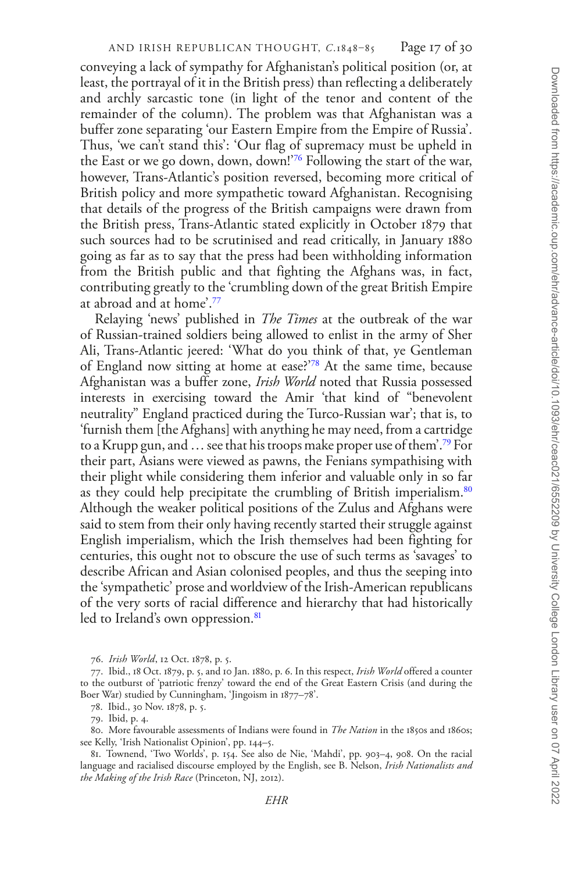conveying a lack of sympathy for Afghanistan's political position (or, at least, the portrayal of it in the British press) than reflecting a deliberately and archly sarcastic tone (in light of the tenor and content of the remainder of the column). The problem was that Afghanistan was a buffer zone separating 'our Eastern Empire from the Empire of Russia'. Thus, 'we can't stand this': 'Our flag of supremacy must be upheld in the East or we go down, down, down!['76](#page-16-0) Following the start of the war, however, Trans-Atlantic's position reversed, becoming more critical of British policy and more sympathetic toward Afghanistan. Recognising that details of the progress of the British campaigns were drawn from the British press, Trans-Atlantic stated explicitly in October 1879 that such sources had to be scrutinised and read critically, in January 1880 going as far as to say that the press had been withholding information from the British public and that fighting the Afghans was, in fact, contributing greatly to the 'crumbling down of the great British Empire at abroad and at home'[.77](#page-16-1)

Relaying 'news' published in *The Times* at the outbreak of the war of Russian-trained soldiers being allowed to enlist in the army of Sher Ali, Trans-Atlantic jeered: 'What do you think of that, ye Gentleman of England now sitting at home at ease?'[78](#page-16-2) At the same time, because Afghanistan was a buffer zone, *Irish World* noted that Russia possessed interests in exercising toward the Amir 'that kind of "benevolent neutrality" England practiced during the Turco-Russian war'; that is, to 'furnish them [the Afghans] with anything he may need, from a cartridge to a Krupp gun, and … see that his troops make proper use of them'.[79](#page-16-3) For their part, Asians were viewed as pawns, the Fenians sympathising with their plight while considering them inferior and valuable only in so far as they could help precipitate the crumbling of British imperialism.<sup>[80](#page-16-4)</sup> Although the weaker political positions of the Zulus and Afghans were said to stem from their only having recently started their struggle against English imperialism, which the Irish themselves had been fighting for centuries, this ought not to obscure the use of such terms as 'savages' to describe African and Asian colonised peoples, and thus the seeping into the 'sympathetic' prose and worldview of the Irish-American republicans of the very sorts of racial difference and hierarchy that had historically led to Ireland's own oppression.<sup>81</sup>

<span id="page-16-1"></span><span id="page-16-0"></span>76. *Irish World*, 12 Oct. 1878, p. 5.

77. Ibid., 18 Oct. 1879, p. 5, and 10 Jan. 1880, p. 6. In this respect, *Irish World* offered a counter to the outburst of 'patriotic frenzy' toward the end of the Great Eastern Crisis (and during the Boer War) studied by Cunningham, 'Jingoism in 1877–78'.

<span id="page-16-2"></span>78. Ibid., 30 Nov. 1878, p. 5.

80. More favourable assessments of Indians were found in *The Nation* in the 1850s and 1860s; see Kelly, 'Irish Nationalist Opinion', pp. 144–5.

<span id="page-16-5"></span>81. Townend, 'Two Worlds', p. 154. See also de Nie, 'Mahdi', pp. 903–4, 908. On the racial language and racialised discourse employed by the English, see B. Nelson, *Irish Nationalists and the Making of the Irish Race* (Princeton, NJ, 2012).

<span id="page-16-4"></span><span id="page-16-3"></span><sup>79.</sup> Ibid, p. 4.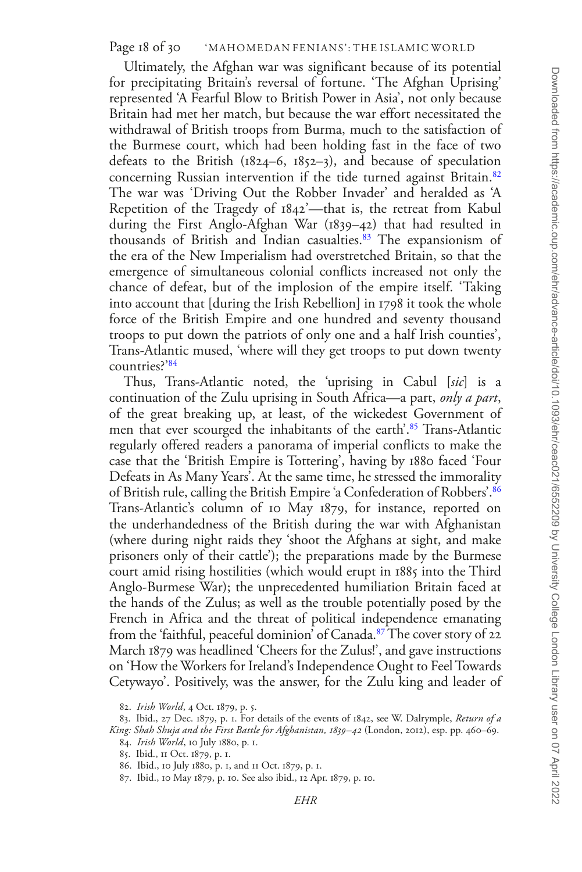Ultimately, the Afghan war was significant because of its potential for precipitating Britain's reversal of fortune. 'The Afghan Uprising' represented 'A Fearful Blow to British Power in Asia', not only because Britain had met her match, but because the war effort necessitated the withdrawal of British troops from Burma, much to the satisfaction of the Burmese court, which had been holding fast in the face of two defeats to the British (1824–6, 1852–3), and because of speculation concerning Russian intervention if the tide turned against Britain.<sup>[82](#page-17-0)</sup> The war was 'Driving Out the Robber Invader' and heralded as 'A Repetition of the Tragedy of 1842'—that is, the retreat from Kabul during the First Anglo-Afghan War (1839–42) that had resulted in thousands of British and Indian casualties.<sup>[83](#page-17-1)</sup> The expansionism of the era of the New Imperialism had overstretched Britain, so that the emergence of simultaneous colonial conflicts increased not only the chance of defeat, but of the implosion of the empire itself. 'Taking into account that [during the Irish Rebellion] in 1798 it took the whole force of the British Empire and one hundred and seventy thousand troops to put down the patriots of only one and a half Irish counties', Trans-Atlantic mused, 'where will they get troops to put down twenty countries?['84](#page-17-2)

Thus, Trans-Atlantic noted, the 'uprising in Cabul [*sic*] is a continuation of the Zulu uprising in South Africa—a part, *only a part*, of the great breaking up, at least, of the wickedest Government of men that ever scourged the inhabitants of the earth'.<sup>85</sup> Trans-Atlantic regularly offered readers a panorama of imperial conflicts to make the case that the 'British Empire is Tottering', having by 1880 faced 'Four Defeats in As Many Years'. At the same time, he stressed the immorality of British rule, calling the British Empire 'a Confederation of Robbers'.[86](#page-17-4) Trans-Atlantic's column of 10 May 1879, for instance, reported on the underhandedness of the British during the war with Afghanistan (where during night raids they 'shoot the Afghans at sight, and make prisoners only of their cattle'); the preparations made by the Burmese court amid rising hostilities (which would erupt in 1885 into the Third Anglo-Burmese War); the unprecedented humiliation Britain faced at the hands of the Zulus; as well as the trouble potentially posed by the French in Africa and the threat of political independence emanating from the 'faithful, peaceful dominion' of Canada.<sup>87</sup> The cover story of 22 March 1879 was headlined 'Cheers for the Zulus!', and gave instructions on 'How the Workers for Ireland's Independence Ought to Feel Towards Cetywayo'. Positively, was the answer, for the Zulu king and leader of

<span id="page-17-1"></span><span id="page-17-0"></span><sup>82.</sup> *Irish World*, 4 Oct. 1879, p. 5.

<sup>83.</sup> Ibid., 27 Dec. 1879, p. 1. For details of the events of 1842, see W. Dalrymple, *Return of a King: Shah Shuja and the First Battle for Afghanistan, 1839–42* (London, 2012), esp. pp. 460–69.

<span id="page-17-2"></span><sup>84.</sup> *Irish World*, 10 July 1880, p. 1.

<span id="page-17-3"></span><sup>85.</sup> Ibid., 11 Oct. 1879, p. 1.

<span id="page-17-4"></span><sup>86.</sup> Ibid., 10 July 1880, p. 1, and 11 Oct. 1879, p. 1.

<span id="page-17-5"></span><sup>87.</sup> Ibid., 10 May 1879, p. 10. See also ibid., 12 Apr. 1879, p. 10.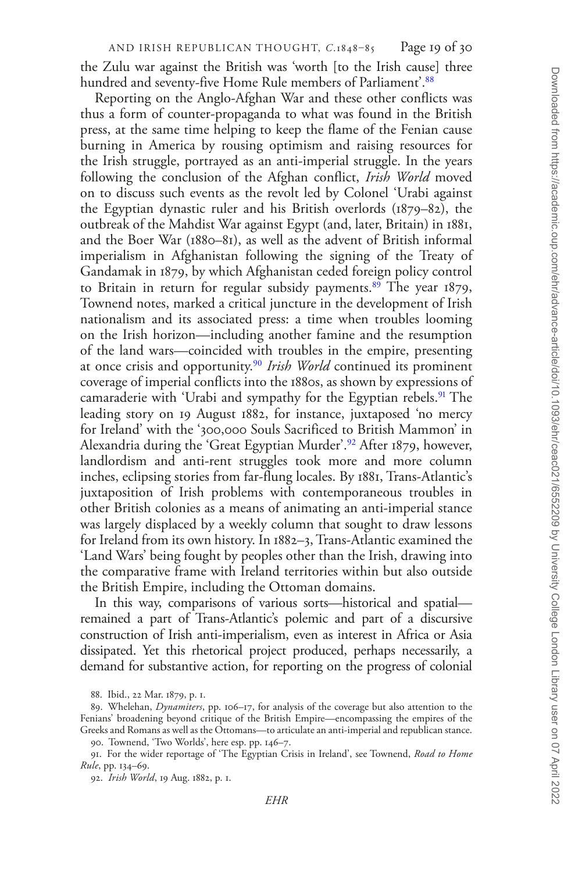the Zulu war against the British was 'worth [to the Irish cause] three hundred and seventy-five Home Rule members of Parliament<sup>'[.88](#page-18-0)</sup>

Reporting on the Anglo-Afghan War and these other conflicts was thus a form of counter-propaganda to what was found in the British press, at the same time helping to keep the flame of the Fenian cause burning in America by rousing optimism and raising resources for the Irish struggle, portrayed as an anti-imperial struggle. In the years following the conclusion of the Afghan conflict, *Irish World* moved on to discuss such events as the revolt led by Colonel 'Urabi against the Egyptian dynastic ruler and his British overlords (1879–82), the outbreak of the Mahdist War against Egypt (and, later, Britain) in 1881, and the Boer War (1880–81), as well as the advent of British informal imperialism in Afghanistan following the signing of the Treaty of Gandamak in 1879, by which Afghanistan ceded foreign policy control to Britain in return for regular subsidy payments.<sup>89</sup> The year  $1879$ , Townend notes, marked a critical juncture in the development of Irish nationalism and its associated press: a time when troubles looming on the Irish horizon—including another famine and the resumption of the land wars—coincided with troubles in the empire, presenting at once crisis and opportunity.[90](#page-18-2) *Irish World* continued its prominent coverage of imperial conflicts into the 1880s, as shown by expressions of camaraderie with 'Urabi and sympathy for the Egyptian rebels.<sup>91</sup> The leading story on 19 August 1882, for instance, juxtaposed 'no mercy for Ireland' with the '300,000 Souls Sacrificed to British Mammon' in Alexandria during the 'Great Egyptian Murder'.<sup>92</sup> After 1879, however, landlordism and anti-rent struggles took more and more column inches, eclipsing stories from far-flung locales. By 1881, Trans-Atlantic's juxtaposition of Irish problems with contemporaneous troubles in other British colonies as a means of animating an anti-imperial stance was largely displaced by a weekly column that sought to draw lessons for Ireland from its own history. In 1882–3, Trans-Atlantic examined the 'Land Wars' being fought by peoples other than the Irish, drawing into the comparative frame with Ireland territories within but also outside the British Empire, including the Ottoman domains.

In this way, comparisons of various sorts—historical and spatial remained a part of Trans-Atlantic's polemic and part of a discursive construction of Irish anti-imperialism, even as interest in Africa or Asia dissipated. Yet this rhetorical project produced, perhaps necessarily, a demand for substantive action, for reporting on the progress of colonial

<span id="page-18-1"></span><span id="page-18-0"></span><sup>88.</sup> Ibid., 22 Mar. 1879, p. 1.

<sup>89.</sup> Whelehan, *Dynamiters*, pp. 106–17, for analysis of the coverage but also attention to the Fenians' broadening beyond critique of the British Empire—encompassing the empires of the Greeks and Romans as well as the Ottomans—to articulate an anti-imperial and republican stance.

<span id="page-18-3"></span><span id="page-18-2"></span><sup>90.</sup> Townend, 'Two Worlds', here esp. pp. 146–7.

<sup>91.</sup> For the wider reportage of 'The Egyptian Crisis in Ireland', see Townend, *Road to Home Rule*, pp. 134–69.

<span id="page-18-4"></span><sup>92.</sup> *Irish World*, 19 Aug. 1882, p. 1.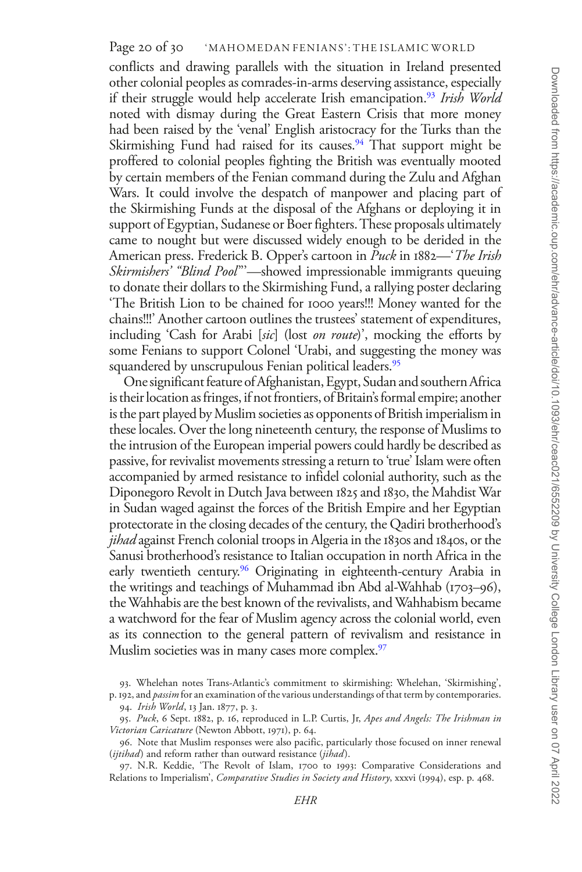conflicts and drawing parallels with the situation in Ireland presented other colonial peoples as comrades-in-arms deserving assistance, especially if their struggle would help accelerate Irish emancipation.<sup>[93](#page-19-0)</sup> *Irish World* noted with dismay during the Great Eastern Crisis that more money had been raised by the 'venal' English aristocracy for the Turks than the Skirmishing Fund had raised for its causes.<sup>94</sup> That support might be proffered to colonial peoples fighting the British was eventually mooted by certain members of the Fenian command during the Zulu and Afghan Wars. It could involve the despatch of manpower and placing part of the Skirmishing Funds at the disposal of the Afghans or deploying it in support of Egyptian, Sudanese or Boer fighters. These proposals ultimately came to nought but were discussed widely enough to be derided in the American press. Frederick B. Opper's cartoon in *Puck* in 1882—'*The Irish Skirmishers' "Blind Pool*"'—showed impressionable immigrants queuing to donate their dollars to the Skirmishing Fund, a rallying poster declaring 'The British Lion to be chained for 1000 years!!! Money wanted for the chains!!!' Another cartoon outlines the trustees' statement of expenditures, including 'Cash for Arabi [*sic*] (lost *on route*)', mocking the efforts by some Fenians to support Colonel 'Urabi, and suggesting the money was squandered by unscrupulous Fenian political leaders.<sup>95</sup>

One significant feature of Afghanistan, Egypt, Sudan and southern Africa is their location as fringes, if not frontiers, of Britain's formal empire; another is the part played by Muslim societies as opponents of British imperialism in these locales. Over the long nineteenth century, the response of Muslims to the intrusion of the European imperial powers could hardly be described as passive, for revivalist movements stressing a return to 'true' Islam were often accompanied by armed resistance to infidel colonial authority, such as the Diponegoro Revolt in Dutch Java between 1825 and 1830, the Mahdist War in Sudan waged against the forces of the British Empire and her Egyptian protectorate in the closing decades of the century, the Qadiri brotherhood's *jihad* against French colonial troops in Algeria in the 1830s and 1840s, or the Sanusi brotherhood's resistance to Italian occupation in north Africa in the early twentieth century.<sup>[96](#page-19-3)</sup> Originating in eighteenth-century Arabia in the writings and teachings of Muhammad ibn Abd al-Wahhab (1703–96), the Wahhabis are the best known of the revivalists, and Wahhabism became a watchword for the fear of Muslim agency across the colonial world, even as its connection to the general pattern of revivalism and resistance in Muslim societies was in many cases more complex.<sup>[97](#page-19-4)</sup>

<span id="page-19-0"></span><sup>93.</sup> Whelehan notes Trans-Atlantic's commitment to skirmishing: Whelehan, 'Skirmishing',

<span id="page-19-1"></span>p. 192, and *passim* for an examination of the various understandings of that term by contemporaries. 94. *Irish World*, 13 Jan. 1877, p. 3.

<span id="page-19-2"></span><sup>95.</sup> *Puck*, 6 Sept. 1882, p. 16, reproduced in L.P. Curtis, Jr, *Apes and Angels: The Irishman in Victorian Caricature* (Newton Abbott, 1971), p. 64.

<span id="page-19-3"></span><sup>96.</sup> Note that Muslim responses were also pacific, particularly those focused on inner renewal (*ijtihad*) and reform rather than outward resistance (*jihad*).

<span id="page-19-4"></span><sup>97.</sup> N.R. Keddie, 'The Revolt of Islam, 1700 to 1993: Comparative Considerations and Relations to Imperialism', *Comparative Studies in Society and History*, xxxvi (1994), esp. p. 468.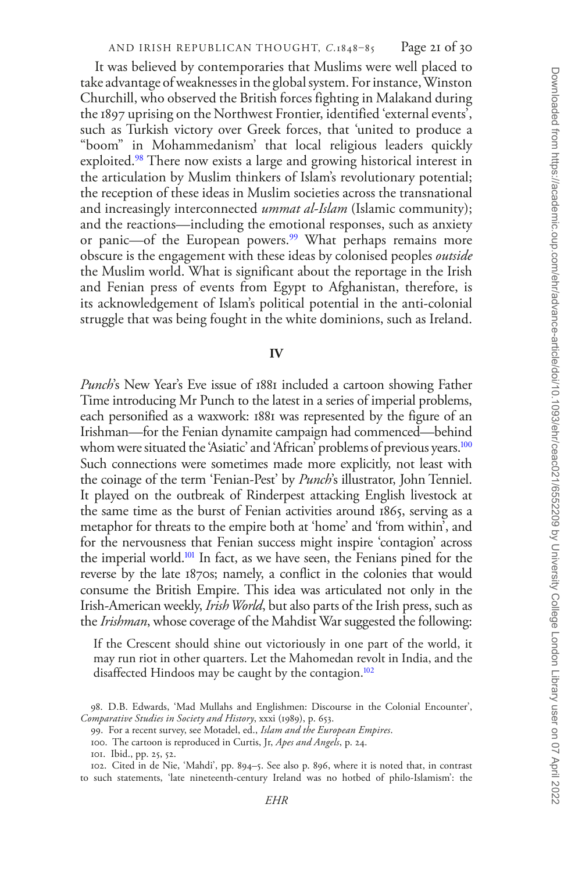It was believed by contemporaries that Muslims were well placed to take advantage of weaknesses in the global system. For instance, Winston Churchill, who observed the British forces fighting in Malakand during the 1897 uprising on the Northwest Frontier, identified 'external events', such as Turkish victory over Greek forces, that 'united to produce a "boom" in Mohammedanism' that local religious leaders quickly exploited.<sup>[98](#page-20-0)</sup> There now exists a large and growing historical interest in the articulation by Muslim thinkers of Islam's revolutionary potential; the reception of these ideas in Muslim societies across the transnational and increasingly interconnected *ummat al-Islam* (Islamic community); and the reactions—including the emotional responses, such as anxiety or panic—of the European powers.<sup>99</sup> What perhaps remains more obscure is the engagement with these ideas by colonised peoples *outside* the Muslim world. What is significant about the reportage in the Irish and Fenian press of events from Egypt to Afghanistan, therefore, is its acknowledgement of Islam's political potential in the anti-colonial struggle that was being fought in the white dominions, such as Ireland.

#### **IV**

*Punch*'s New Year's Eve issue of 1881 included a cartoon showing Father Time introducing Mr Punch to the latest in a series of imperial problems, each personified as a waxwork: 1881 was represented by the figure of an Irishman—for the Fenian dynamite campaign had commenced—behind whom were situated the 'Asiatic' and 'African' problems of previous years.<sup>100</sup> Such connections were sometimes made more explicitly, not least with the coinage of the term 'Fenian-Pest' by *Punch*'s illustrator, John Tenniel. It played on the outbreak of Rinderpest attacking English livestock at the same time as the burst of Fenian activities around 1865, serving as a metaphor for threats to the empire both at 'home' and 'from within', and for the nervousness that Fenian success might inspire 'contagion' across the imperial world.<sup>101</sup> In fact, as we have seen, the Fenians pined for the reverse by the late 1870s; namely, a conflict in the colonies that would consume the British Empire. This idea was articulated not only in the Irish-American weekly, *Irish World*, but also parts of the Irish press, such as the *Irishman*, whose coverage of the Mahdist War suggested the following:

If the Crescent should shine out victoriously in one part of the world, it may run riot in other quarters. Let the Mahomedan revolt in India, and the disaffected Hindoos may be caught by the contagion.<sup>102</sup>

<span id="page-20-0"></span><sup>98.</sup> D.B. Edwards, 'Mad Mullahs and Englishmen: Discourse in the Colonial Encounter', *Comparative Studies in Society and History*, xxxi (1989), p. 653.

<span id="page-20-1"></span><sup>99.</sup> For a recent survey, see Motadel, ed., *Islam and the European Empires*.

<span id="page-20-2"></span><sup>100.</sup> The cartoon is reproduced in Curtis, Jr, *Apes and Angels*, p. 24.

<span id="page-20-4"></span><span id="page-20-3"></span><sup>101.</sup> Ibid., pp. 25, 52.

<sup>102.</sup> Cited in de Nie, 'Mahdi', pp. 894–5. See also p. 896, where it is noted that, in contrast to such statements, 'late nineteenth-century Ireland was no hotbed of philo-Islamism': the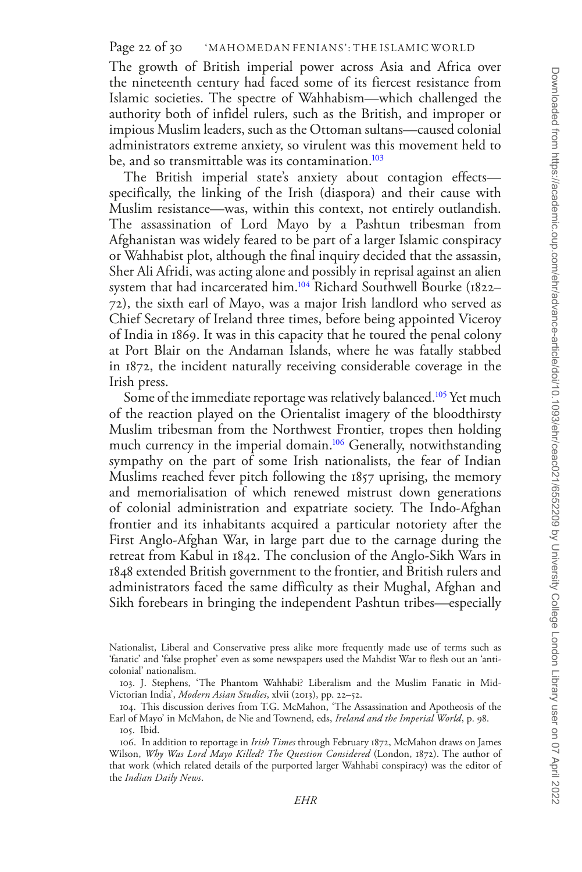The growth of British imperial power across Asia and Africa over the nineteenth century had faced some of its fiercest resistance from Islamic societies. The spectre of Wahhabism—which challenged the authority both of infidel rulers, such as the British, and improper or impious Muslim leaders, such as the Ottoman sultans—caused colonial administrators extreme anxiety, so virulent was this movement held to be, and so transmittable was its contamination.<sup>103</sup>

The British imperial state's anxiety about contagion effects specifically, the linking of the Irish (diaspora) and their cause with Muslim resistance—was, within this context, not entirely outlandish. The assassination of Lord Mayo by a Pashtun tribesman from Afghanistan was widely feared to be part of a larger Islamic conspiracy or Wahhabist plot, although the final inquiry decided that the assassin, Sher Ali Afridi, was acting alone and possibly in reprisal against an alien system that had incarcerated him.[104](#page-21-1) Richard Southwell Bourke (1822– 72), the sixth earl of Mayo, was a major Irish landlord who served as Chief Secretary of Ireland three times, before being appointed Viceroy of India in 1869. It was in this capacity that he toured the penal colony at Port Blair on the Andaman Islands, where he was fatally stabbed in 1872, the incident naturally receiving considerable coverage in the Irish press.

Some of the immediate reportage was relatively balanced.<sup>105</sup> Yet much of the reaction played on the Orientalist imagery of the bloodthirsty Muslim tribesman from the Northwest Frontier, tropes then holding much currency in the imperial domain.<sup>106</sup> Generally, notwithstanding sympathy on the part of some Irish nationalists, the fear of Indian Muslims reached fever pitch following the 1857 uprising, the memory and memorialisation of which renewed mistrust down generations of colonial administration and expatriate society. The Indo-Afghan frontier and its inhabitants acquired a particular notoriety after the First Anglo-Afghan War, in large part due to the carnage during the retreat from Kabul in 1842. The conclusion of the Anglo-Sikh Wars in 1848 extended British government to the frontier, and British rulers and administrators faced the same difficulty as their Mughal, Afghan and Sikh forebears in bringing the independent Pashtun tribes—especially

Nationalist, Liberal and Conservative press alike more frequently made use of terms such as 'fanatic' and 'false prophet' even as some newspapers used the Mahdist War to flesh out an 'anticolonial' nationalism.

<span id="page-21-0"></span><sup>103.</sup> J. Stephens, 'The Phantom Wahhabi? Liberalism and the Muslim Fanatic in Mid-Victorian India', *Modern Asian Studies*, xlvii (2013), pp. 22–52.

<span id="page-21-1"></span><sup>104.</sup> This discussion derives from T.G. McMahon, 'The Assassination and Apotheosis of the Earl of Mayo' in McMahon, de Nie and Townend, eds, *Ireland and the Imperial World*, p. 98. 105. Ibid.

<span id="page-21-3"></span><span id="page-21-2"></span><sup>106.</sup> In addition to reportage in *Irish Times* through February 1872, McMahon draws on James Wilson, *Why Was Lord Mayo Killed? The Question Considered* (London, 1872). The author of that work (which related details of the purported larger Wahhabi conspiracy) was the editor of the *Indian Daily News*.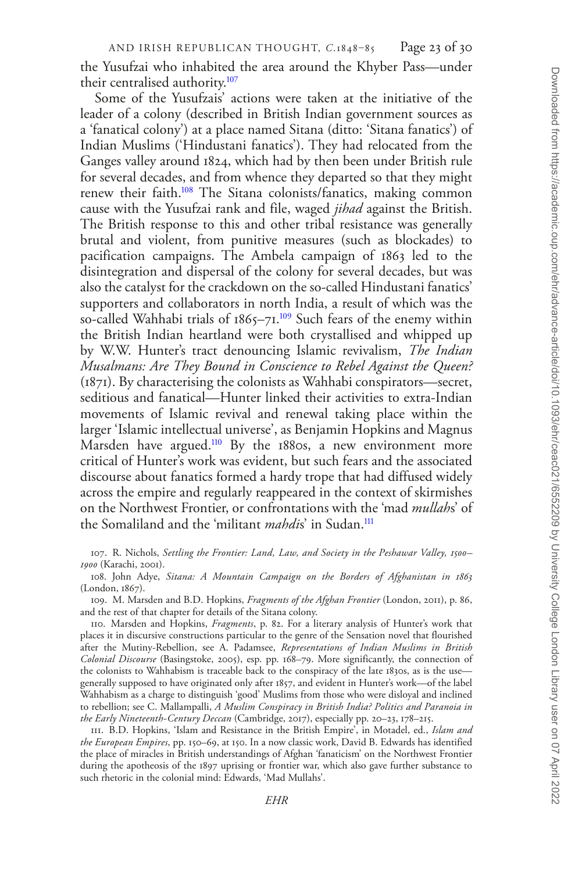the Yusufzai who inhabited the area around the Khyber Pass—under their centralised authority.<sup>107</sup>

Some of the Yusufzais' actions were taken at the initiative of the leader of a colony (described in British Indian government sources as a 'fanatical colony') at a place named Sitana (ditto: 'Sitana fanatics') of Indian Muslims ('Hindustani fanatics'). They had relocated from the Ganges valley around 1824, which had by then been under British rule for several decades, and from whence they departed so that they might renew their faith[.108](#page-22-1) The Sitana colonists/fanatics, making common cause with the Yusufzai rank and file, waged *jihad* against the British. The British response to this and other tribal resistance was generally brutal and violent, from punitive measures (such as blockades) to pacification campaigns. The Ambela campaign of 1863 led to the disintegration and dispersal of the colony for several decades, but was also the catalyst for the crackdown on the so-called Hindustani fanatics' supporters and collaborators in north India, a result of which was the so-called Wahhabi trials of  $1865-71$ .<sup>109</sup> Such fears of the enemy within the British Indian heartland were both crystallised and whipped up by W.W. Hunter's tract denouncing Islamic revivalism, *The Indian Musalmans: Are They Bound in Conscience to Rebel Against the Queen?* (1871). By characterising the colonists as Wahhabi conspirators—secret, seditious and fanatical—Hunter linked their activities to extra-Indian movements of Islamic revival and renewal taking place within the larger 'Islamic intellectual universe', as Benjamin Hopkins and Magnus Marsden have argued.<sup>110</sup> By the 1880s, a new environment more critical of Hunter's work was evident, but such fears and the associated discourse about fanatics formed a hardy trope that had diffused widely across the empire and regularly reappeared in the context of skirmishes on the Northwest Frontier, or confrontations with the 'mad *mullah*s' of the Somaliland and the 'militant *mahdi*s' in Sudan[.111](#page-22-4)

<span id="page-22-0"></span>107. R. Nichols, *Settling the Frontier: Land, Law, and Society in the Peshawar Valley, 1500– 1900* (Karachi, 2001).

<span id="page-22-1"></span>108. John Adye, *Sitana: A Mountain Campaign on the Borders of Afghanistan in 1863* (London, 1867).

<span id="page-22-2"></span>109. M. Marsden and B.D. Hopkins, *Fragments of the Afghan Frontier* (London, 2011), p. 86, and the rest of that chapter for details of the Sitana colony.

<span id="page-22-3"></span>110. Marsden and Hopkins, *Fragments*, p. 82. For a literary analysis of Hunter's work that places it in discursive constructions particular to the genre of the Sensation novel that flourished after the Mutiny-Rebellion, see A. Padamsee, *Representations of Indian Muslims in British Colonial Discourse* (Basingstoke, 2005), esp. pp. 168–79. More significantly, the connection of the colonists to Wahhabism is traceable back to the conspiracy of the late 1830s, as is the use generally supposed to have originated only after 1857, and evident in Hunter's work—of the label Wahhabism as a charge to distinguish 'good' Muslims from those who were disloyal and inclined to rebellion; see C. Mallampalli, *A Muslim Conspiracy in British India? Politics and Paranoia in the Early Nineteenth-Century Deccan* (Cambridge, 2017), especially pp. 20–23, 178–215.

<span id="page-22-4"></span>111. B.D. Hopkins, 'Islam and Resistance in the British Empire', in Motadel, ed., *Islam and the European Empires*, pp. 150–69, at 150. In a now classic work, David B. Edwards has identified the place of miracles in British understandings of Afghan 'fanaticism' on the Northwest Frontier during the apotheosis of the 1897 uprising or frontier war, which also gave further substance to such rhetoric in the colonial mind: Edwards, 'Mad Mullahs'.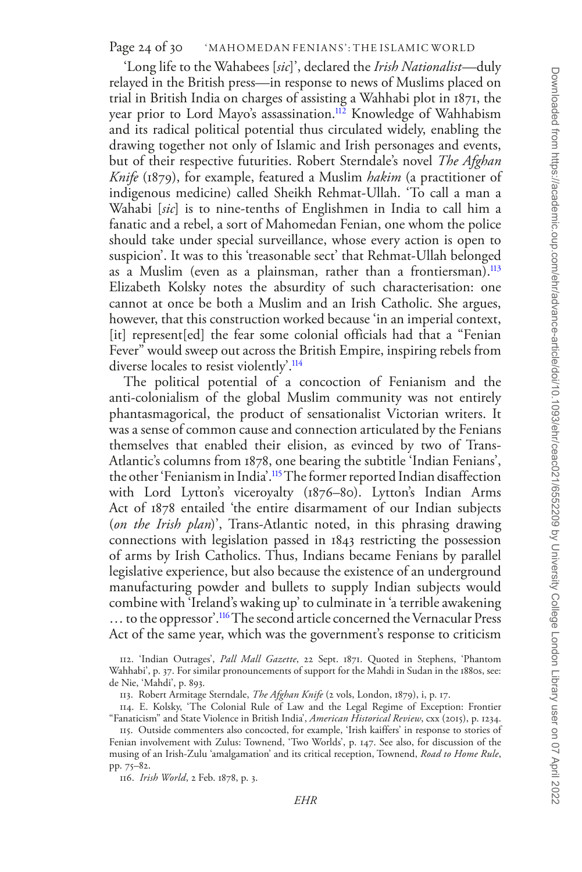Page 24 of 30 WAHOMEDAN FENIANS': THE ISLAMIC WORLD

'Long life to the Wahabees [*sic*]', declared the *Irish Nationalist*—duly relayed in the British press—in response to news of Muslims placed on trial in British India on charges of assisting a Wahhabi plot in 1871, the year prior to Lord Mayo's assassination.<sup>112</sup> Knowledge of Wahhabism and its radical political potential thus circulated widely, enabling the drawing together not only of Islamic and Irish personages and events, but of their respective futurities. Robert Sterndale's novel *The Afghan Knife* (1879), for example, featured a Muslim *hakim* (a practitioner of indigenous medicine) called Sheikh Rehmat-Ullah. 'To call a man a Wahabi [*sic*] is to nine-tenths of Englishmen in India to call him a fanatic and a rebel, a sort of Mahomedan Fenian, one whom the police should take under special surveillance, whose every action is open to suspicion'. It was to this 'treasonable sect' that Rehmat-Ullah belonged as a Muslim (even as a plainsman, rather than a frontiersman).<sup>113</sup> Elizabeth Kolsky notes the absurdity of such characterisation: one cannot at once be both a Muslim and an Irish Catholic. She argues, however, that this construction worked because 'in an imperial context, [it] represent[ed] the fear some colonial officials had that a "Fenian Fever" would sweep out across the British Empire, inspiring rebels from diverse locales to resist violently'.<sup>114</sup>

The political potential of a concoction of Fenianism and the anti-colonialism of the global Muslim community was not entirely phantasmagorical, the product of sensationalist Victorian writers. It was a sense of common cause and connection articulated by the Fenians themselves that enabled their elision, as evinced by two of Trans-Atlantic's columns from 1878, one bearing the subtitle 'Indian Fenians', the other 'Fenianism in India'.[115](#page-23-3) The former reported Indian disaffection with Lord Lytton's viceroyalty (1876–80). Lytton's Indian Arms Act of 1878 entailed 'the entire disarmament of our Indian subjects (*on the Irish plan*)', Trans-Atlantic noted, in this phrasing drawing connections with legislation passed in 1843 restricting the possession of arms by Irish Catholics. Thus, Indians became Fenians by parallel legislative experience, but also because the existence of an underground manufacturing powder and bullets to supply Indian subjects would combine with 'Ireland's waking up' to culminate in 'a terrible awakening ... to the oppressor'.<sup>116</sup> The second article concerned the Vernacular Press Act of the same year, which was the government's response to criticism

<span id="page-23-4"></span>116. *Irish World*, 2 Feb. 1878, p. 3.

<span id="page-23-0"></span><sup>112.</sup> 'Indian Outrages', *Pall Mall Gazette*, 22 Sept. 1871. Quoted in Stephens, 'Phantom Wahhabi', p. 37. For similar pronouncements of support for the Mahdi in Sudan in the 1880s, see: de Nie, 'Mahdi', p. 893.

<span id="page-23-2"></span><span id="page-23-1"></span><sup>113.</sup> Robert Armitage Sterndale, *The Afghan Knife* (2 vols, London, 1879), i, p. 17.

<sup>114.</sup> E. Kolsky, 'The Colonial Rule of Law and the Legal Regime of Exception: Frontier "Fanaticism" and State Violence in British India', *American Historical Review*, cxx (2015), p. 1234.

<span id="page-23-3"></span><sup>115.</sup> Outside commenters also concocted, for example, 'Irish kaiffers' in response to stories of Fenian involvement with Zulus: Townend, 'Two Worlds', p. 147. See also, for discussion of the musing of an Irish-Zulu 'amalgamation' and its critical reception, Townend, *Road to Home Rule*, pp. 75–82.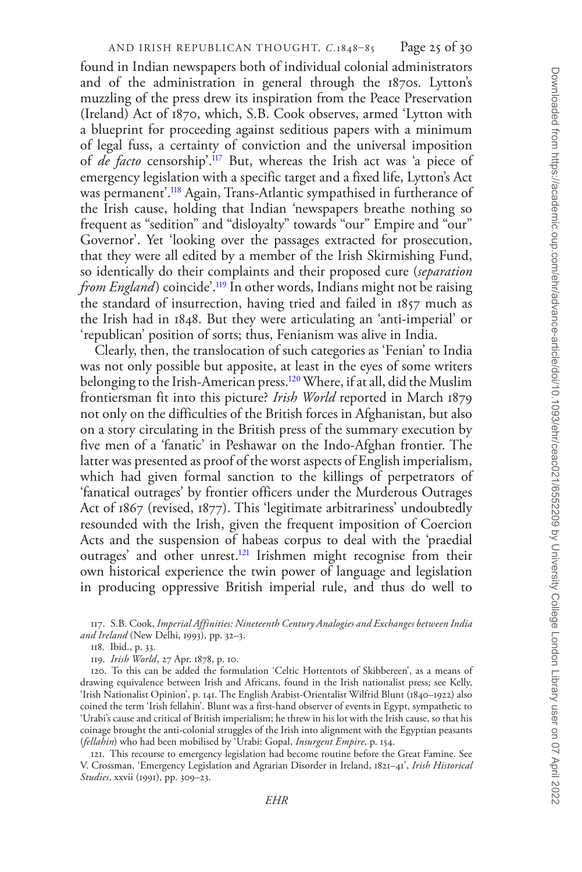## AND IRISH REPUBLICAN THOUGHT, *C*.1848–85 Page 25 of 30

found in Indian newspapers both of individual colonial administrators and of the administration in general through the 1870s. Lytton's muzzling of the press drew its inspiration from the Peace Preservation (Ireland) Act of 1870, which, S.B. Cook observes, armed 'Lytton with a blueprint for proceeding against seditious papers with a minimum of legal fuss, a certainty of conviction and the universal imposition of *de facto* censorship'[.117](#page-24-0) But, whereas the Irish act was 'a piece of emergency legislation with a specific target and a fixed life, Lytton's Act was permanent'.[118](#page-24-1) Again, Trans-Atlantic sympathised in furtherance of the Irish cause, holding that Indian 'newspapers breathe nothing so frequent as "sedition" and "disloyalty" towards "our" Empire and "our" Governor'. Yet 'looking over the passages extracted for prosecution, that they were all edited by a member of the Irish Skirmishing Fund, so identically do their complaints and their proposed cure (*separation from England*) coincide'.<sup>119</sup> In other words, Indians might not be raising the standard of insurrection, having tried and failed in 1857 much as the Irish had in 1848. But they were articulating an 'anti-imperial' or 'republican' position of sorts; thus, Fenianism was alive in India.

Clearly, then, the translocation of such categories as 'Fenian' to India was not only possible but apposite, at least in the eyes of some writers belonging to the Irish-American press[.120](#page-24-3) Where, if at all, did the Muslim frontiersman fit into this picture? *Irish World* reported in March 1879 not only on the difficulties of the British forces in Afghanistan, but also on a story circulating in the British press of the summary execution by five men of a 'fanatic' in Peshawar on the Indo-Afghan frontier. The latter was presented as proof of the worst aspects of English imperialism, which had given formal sanction to the killings of perpetrators of 'fanatical outrages' by frontier officers under the Murderous Outrages Act of 1867 (revised, 1877). This 'legitimate arbitrariness' undoubtedly resounded with the Irish, given the frequent imposition of Coercion Acts and the suspension of habeas corpus to deal with the 'praedial outrages' and other unrest.<sup>121</sup> Irishmen might recognise from their own historical experience the twin power of language and legislation in producing oppressive British imperial rule, and thus do well to

<span id="page-24-4"></span>121. This recourse to emergency legislation had become routine before the Great Famine. See V. Crossman, 'Emergency Legislation and Agrarian Disorder in Ireland, 1821–41', *Irish Historical Studies*, xxvii (1991), pp. 309–23.

<span id="page-24-0"></span><sup>117.</sup> S.B. Cook, *Imperial Affinities: Nineteenth Century Analogies and Exchanges between India and Ireland* (New Delhi, 1993), pp. 32–3.

<span id="page-24-1"></span><sup>118.</sup> Ibid., p. 33.

<span id="page-24-3"></span><span id="page-24-2"></span><sup>119.</sup> *Irish World*, 27 Apr. 1878, p. 10.

<sup>120.</sup> To this can be added the formulation 'Celtic Hottentots of Skibbereen', as a means of drawing equivalence between Irish and Africans, found in the Irish nationalist press; see Kelly, 'Irish Nationalist Opinion', p. 141. The English Arabist-Orientalist Wilfrid Blunt (1840–1922) also coined the term 'Irish fellahin'. Blunt was a first-hand observer of events in Egypt, sympathetic to 'Urabi's cause and critical of British imperialism; he threw in his lot with the Irish cause, so that his coinage brought the anti-colonial struggles of the Irish into alignment with the Egyptian peasants (*fellahin*) who had been mobilised by 'Urabi: Gopal, *Insurgent Empire*, p. 154.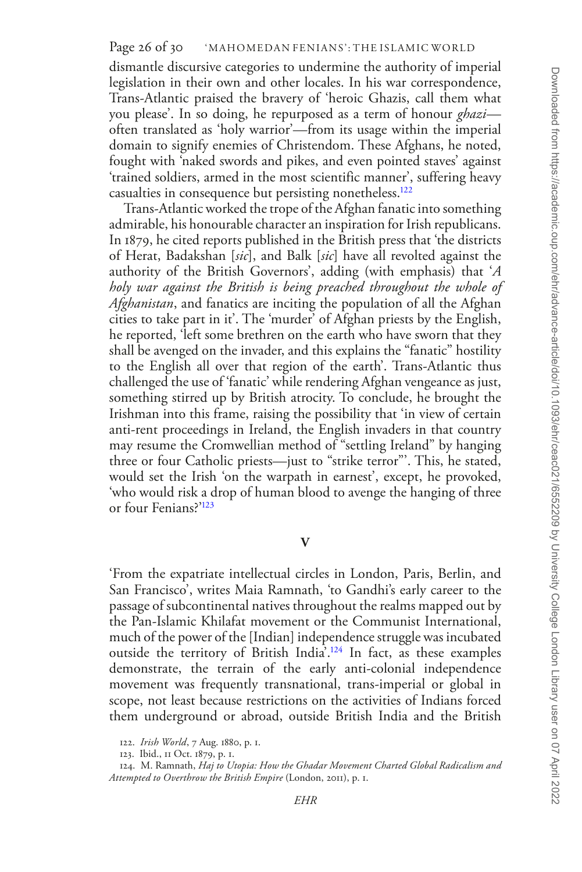dismantle discursive categories to undermine the authority of imperial legislation in their own and other locales. In his war correspondence, Trans-Atlantic praised the bravery of 'heroic Ghazis, call them what you please'. In so doing, he repurposed as a term of honour *ghazi* often translated as 'holy warrior'—from its usage within the imperial domain to signify enemies of Christendom. These Afghans, he noted, fought with 'naked swords and pikes, and even pointed staves' against 'trained soldiers, armed in the most scientific manner', suffering heavy casualties in consequence but persisting nonetheless.[122](#page-25-0)

Trans-Atlantic worked the trope of the Afghan fanatic into something admirable, his honourable character an inspiration for Irish republicans. In 1879, he cited reports published in the British press that 'the districts of Herat, Badakshan [*sic*], and Balk [*sic*] have all revolted against the authority of the British Governors', adding (with emphasis) that '*A holy war against the British is being preached throughout the whole of Afghanistan*, and fanatics are inciting the population of all the Afghan cities to take part in it'. The 'murder' of Afghan priests by the English, he reported, 'left some brethren on the earth who have sworn that they shall be avenged on the invader, and this explains the "fanatic" hostility to the English all over that region of the earth'. Trans-Atlantic thus challenged the use of 'fanatic' while rendering Afghan vengeance as just, something stirred up by British atrocity. To conclude, he brought the Irishman into this frame, raising the possibility that 'in view of certain anti-rent proceedings in Ireland, the English invaders in that country may resume the Cromwellian method of "settling Ireland" by hanging three or four Catholic priests—just to "strike terror"'. This, he stated, would set the Irish 'on the warpath in earnest', except, he provoked, 'who would risk a drop of human blood to avenge the hanging of three or four Fenians?'[123](#page-25-1)

## **V**

'From the expatriate intellectual circles in London, Paris, Berlin, and San Francisco', writes Maia Ramnath, 'to Gandhi's early career to the passage of subcontinental natives throughout the realms mapped out by the Pan-Islamic Khilafat movement or the Communist International, much of the power of the [Indian] independence struggle was incubated outside the territory of British India'[.124](#page-25-2) In fact, as these examples demonstrate, the terrain of the early anti-colonial independence movement was frequently transnational, trans-imperial or global in scope, not least because restrictions on the activities of Indians forced them underground or abroad, outside British India and the British

<span id="page-25-0"></span><sup>122.</sup> *Irish World*, 7 Aug. 1880, p. 1.

<span id="page-25-2"></span><span id="page-25-1"></span><sup>123.</sup> Ibid., 11 Oct. 1879, p. 1.

<sup>124.</sup> M. Ramnath, *Haj to Utopia: How the Ghadar Movement Charted Global Radicalism and Attempted to Overthrow the British Empire* (London, 2011), p. 1.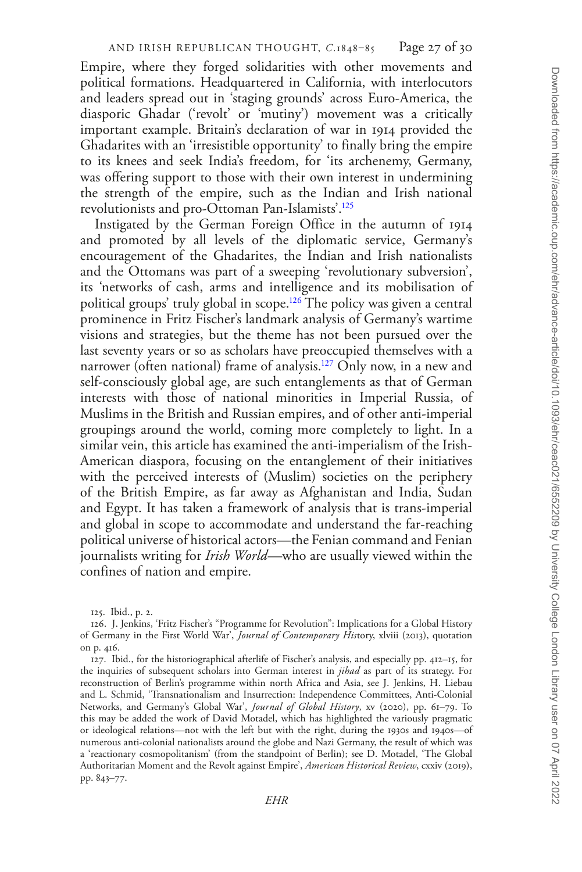Empire, where they forged solidarities with other movements and political formations. Headquartered in California, with interlocutors and leaders spread out in 'staging grounds' across Euro-America, the diasporic Ghadar ('revolt' or 'mutiny') movement was a critically important example. Britain's declaration of war in 1914 provided the Ghadarites with an 'irresistible opportunity' to finally bring the empire to its knees and seek India's freedom, for 'its archenemy, Germany, was offering support to those with their own interest in undermining the strength of the empire, such as the Indian and Irish national revolutionists and pro-Ottoman Pan-Islamists'[.125](#page-26-0)

Instigated by the German Foreign Office in the autumn of 1914 and promoted by all levels of the diplomatic service, Germany's encouragement of the Ghadarites, the Indian and Irish nationalists and the Ottomans was part of a sweeping 'revolutionary subversion', its 'networks of cash, arms and intelligence and its mobilisation of political groups' truly global in scope[.126](#page-26-1) The policy was given a central prominence in Fritz Fischer's landmark analysis of Germany's wartime visions and strategies, but the theme has not been pursued over the last seventy years or so as scholars have preoccupied themselves with a narrower (often national) frame of analysis.<sup>127</sup> Only now, in a new and self-consciously global age, are such entanglements as that of German interests with those of national minorities in Imperial Russia, of Muslims in the British and Russian empires, and of other anti-imperial groupings around the world, coming more completely to light. In a similar vein, this article has examined the anti-imperialism of the Irish-American diaspora, focusing on the entanglement of their initiatives with the perceived interests of (Muslim) societies on the periphery of the British Empire, as far away as Afghanistan and India, Sudan and Egypt. It has taken a framework of analysis that is trans-imperial and global in scope to accommodate and understand the far-reaching political universe of historical actors—the Fenian command and Fenian journalists writing for *Irish World*—who are usually viewed within the confines of nation and empire.

<span id="page-26-2"></span>127. Ibid., for the historiographical afterlife of Fischer's analysis, and especially pp. 412–15, for the inquiries of subsequent scholars into German interest in *jihad* as part of its strategy. For reconstruction of Berlin's programme within north Africa and Asia, see J. Jenkins, H. Liebau and L. Schmid, 'Transnationalism and Insurrection: Independence Committees, Anti-Colonial Networks, and Germany's Global War', *Journal of Global History*, xv (2020), pp. 61–79. To this may be added the work of David Motadel, which has highlighted the variously pragmatic or ideological relations—not with the left but with the right, during the 1930s and 1940s—of numerous anti-colonial nationalists around the globe and Nazi Germany, the result of which was a 'reactionary cosmopolitanism' (from the standpoint of Berlin); see D. Motadel, 'The Global Authoritarian Moment and the Revolt against Empire', *American Historical Review*, cxxiv (2019), pp. 843–77.

<span id="page-26-1"></span><span id="page-26-0"></span><sup>125.</sup> Ibid., p. 2.

<sup>126.</sup> J. Jenkins, 'Fritz Fischer's "Programme for Revolution": Implications for a Global History of Germany in the First World War', *Journal of Contemporary His*tory, xlviii (2013), quotation on p. 416.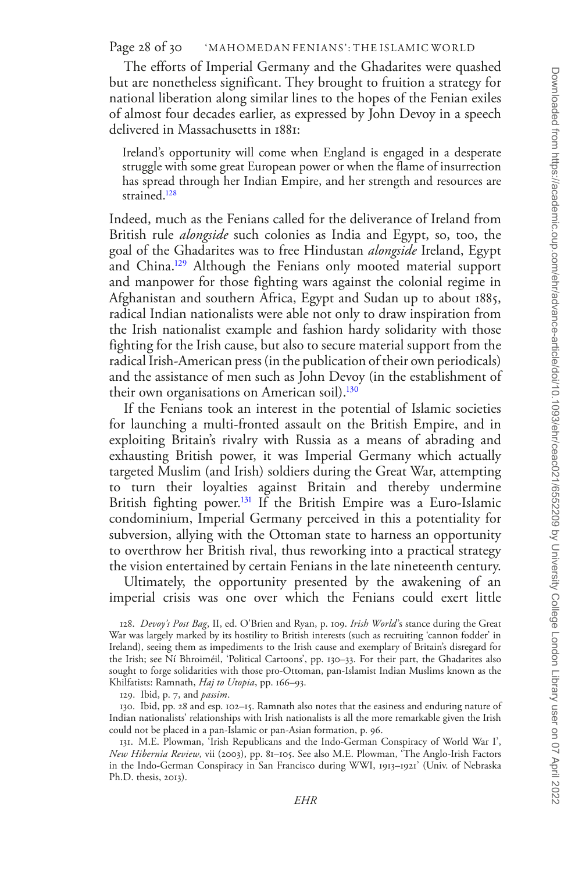The efforts of Imperial Germany and the Ghadarites were quashed but are nonetheless significant. They brought to fruition a strategy for national liberation along similar lines to the hopes of the Fenian exiles of almost four decades earlier, as expressed by John Devoy in a speech delivered in Massachusetts in 1881:

Ireland's opportunity will come when England is engaged in a desperate struggle with some great European power or when the flame of insurrection has spread through her Indian Empire, and her strength and resources are strained.<sup>128</sup>

Indeed, much as the Fenians called for the deliverance of Ireland from British rule *alongside* such colonies as India and Egypt, so, too, the goal of the Ghadarites was to free Hindustan *alongside* Ireland, Egypt and China.[129](#page-27-1) Although the Fenians only mooted material support and manpower for those fighting wars against the colonial regime in Afghanistan and southern Africa, Egypt and Sudan up to about 1885, radical Indian nationalists were able not only to draw inspiration from the Irish nationalist example and fashion hardy solidarity with those fighting for the Irish cause, but also to secure material support from the radical Irish-American press (in the publication of their own periodicals) and the assistance of men such as John Devoy (in the establishment of their own organisations on American soil).<sup>130</sup>

If the Fenians took an interest in the potential of Islamic societies for launching a multi-fronted assault on the British Empire, and in exploiting Britain's rivalry with Russia as a means of abrading and exhausting British power, it was Imperial Germany which actually targeted Muslim (and Irish) soldiers during the Great War, attempting to turn their loyalties against Britain and thereby undermine British fighting power.<sup>131</sup> If the British Empire was a Euro-Islamic condominium, Imperial Germany perceived in this a potentiality for subversion, allying with the Ottoman state to harness an opportunity to overthrow her British rival, thus reworking into a practical strategy the vision entertained by certain Fenians in the late nineteenth century.

Ultimately, the opportunity presented by the awakening of an imperial crisis was one over which the Fenians could exert little

<span id="page-27-2"></span><span id="page-27-1"></span>129. Ibid, p. 7, and *passim*.

130. Ibid, pp. 28 and esp. 102–15. Ramnath also notes that the easiness and enduring nature of Indian nationalists' relationships with Irish nationalists is all the more remarkable given the Irish could not be placed in a pan-Islamic or pan-Asian formation, p. 96.

<span id="page-27-3"></span>131. M.E. Plowman, 'Irish Republicans and the Indo-German Conspiracy of World War I', *New Hibernia Review*, vii (2003), pp. 81–105. See also M.E. Plowman, 'The Anglo-Irish Factors in the Indo-German Conspiracy in San Francisco during WWI, 1913–1921' (Univ. of Nebraska Ph.D. thesis, 2013).

<span id="page-27-0"></span><sup>128.</sup> *Devoy's Post Bag*, II, ed. O'Brien and Ryan, p. 109. *Irish World*'s stance during the Great War was largely marked by its hostility to British interests (such as recruiting 'cannon fodder' in Ireland), seeing them as impediments to the Irish cause and exemplary of Britain's disregard for the Irish; see Ní Bhroiméil, 'Political Cartoons', pp. 130–33. For their part, the Ghadarites also sought to forge solidarities with those pro-Ottoman, pan-Islamist Indian Muslims known as the Khilfatists: Ramnath, *Haj to Utopia*, pp. 166–93.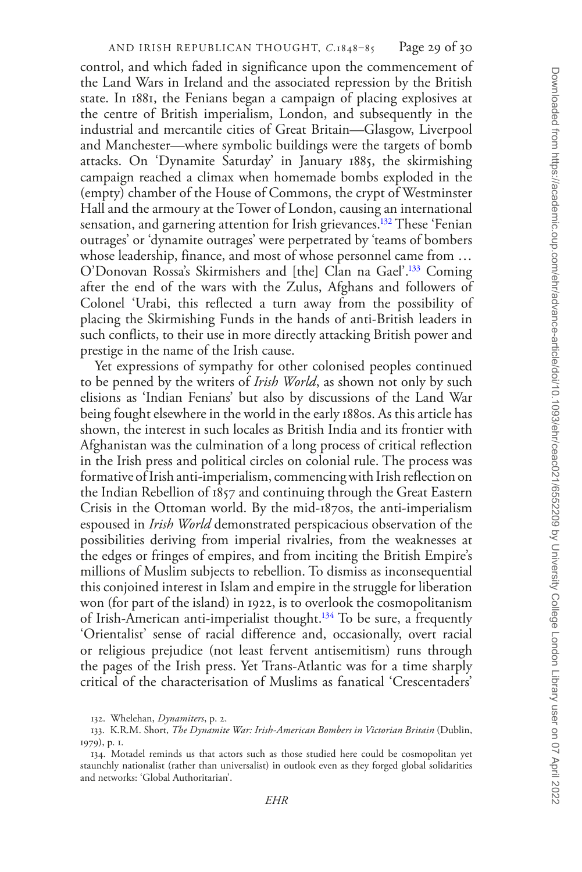control, and which faded in significance upon the commencement of the Land Wars in Ireland and the associated repression by the British state. In 1881, the Fenians began a campaign of placing explosives at the centre of British imperialism, London, and subsequently in the industrial and mercantile cities of Great Britain—Glasgow, Liverpool and Manchester—where symbolic buildings were the targets of bomb attacks. On 'Dynamite Saturday' in January 1885, the skirmishing campaign reached a climax when homemade bombs exploded in the (empty) chamber of the House of Commons, the crypt of Westminster Hall and the armoury at the Tower of London, causing an international sensation, and garnering attention for Irish grievances.<sup>132</sup> These 'Fenian outrages' or 'dynamite outrages' were perpetrated by 'teams of bombers whose leadership, finance, and most of whose personnel came from … O'Donovan Rossa's Skirmishers and [the] Clan na Gael'.[133](#page-28-1) Coming after the end of the wars with the Zulus, Afghans and followers of Colonel 'Urabi, this reflected a turn away from the possibility of placing the Skirmishing Funds in the hands of anti-British leaders in such conflicts, to their use in more directly attacking British power and prestige in the name of the Irish cause.

Yet expressions of sympathy for other colonised peoples continued to be penned by the writers of *Irish World*, as shown not only by such elisions as 'Indian Fenians' but also by discussions of the Land War being fought elsewhere in the world in the early 1880s. As this article has shown, the interest in such locales as British India and its frontier with Afghanistan was the culmination of a long process of critical reflection in the Irish press and political circles on colonial rule. The process was formative of Irish anti-imperialism, commencing with Irish reflection on the Indian Rebellion of 1857 and continuing through the Great Eastern Crisis in the Ottoman world. By the mid-1870s, the anti-imperialism espoused in *Irish World* demonstrated perspicacious observation of the possibilities deriving from imperial rivalries, from the weaknesses at the edges or fringes of empires, and from inciting the British Empire's millions of Muslim subjects to rebellion. To dismiss as inconsequential this conjoined interest in Islam and empire in the struggle for liberation won (for part of the island) in 1922, is to overlook the cosmopolitanism of Irish-American anti-imperialist thought.[134](#page-28-2) To be sure, a frequently 'Orientalist' sense of racial difference and, occasionally, overt racial or religious prejudice (not least fervent antisemitism) runs through the pages of the Irish press. Yet Trans-Atlantic was for a time sharply critical of the characterisation of Muslims as fanatical 'Crescentaders'

<span id="page-28-1"></span><span id="page-28-0"></span><sup>132.</sup> Whelehan, *Dynamiters*, p. 2.

<sup>133.</sup> K.R.M. Short, *The Dynamite War: Irish-American Bombers in Victorian Britain* (Dublin, 1979), p. 1.

<span id="page-28-2"></span><sup>134.</sup> Motadel reminds us that actors such as those studied here could be cosmopolitan yet staunchly nationalist (rather than universalist) in outlook even as they forged global solidarities and networks: 'Global Authoritarian'.